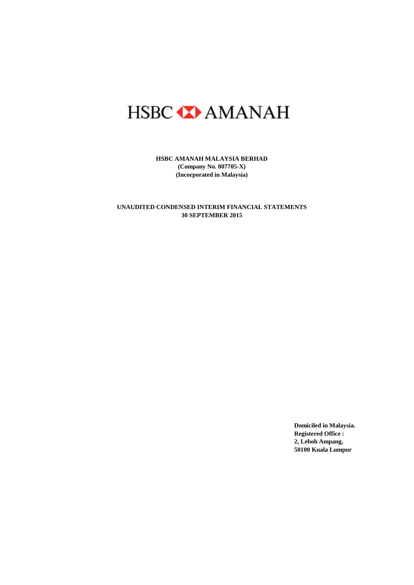# HSBC **XX** AMANAH

**HSBC AMANAH MALAYSIA BERHAD (Company No. 807705-X) (Incorporated in Malaysia)**

**30 SEPTEMBER 2015 UNAUDITED CONDENSED INTERIM FINANCIAL STATEMENTS**

> **Domiciled in Malaysia. Registered Office : 2, Leboh Ampang, 50100 Kuala Lumpur**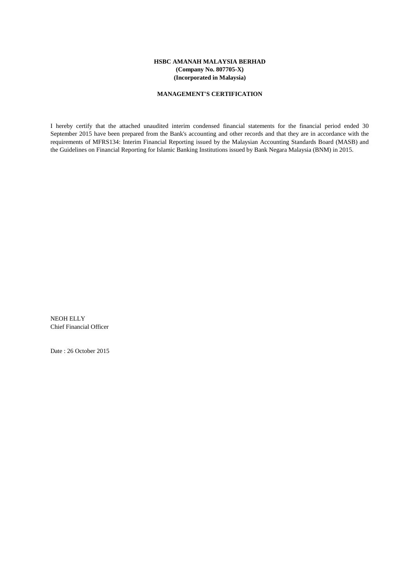#### **HSBC AMANAH MALAYSIA BERHAD (Company No. 807705-X) (Incorporated in Malaysia)**

#### **MANAGEMENT'S CERTIFICATION**

I hereby certify that the attached unaudited interim condensed financial statements for the financial period ended 30 September 2015 have been prepared from the Bank's accounting and other records and that they are in accordance with the requirements of MFRS134: Interim Financial Reporting issued by the Malaysian Accounting Standards Board (MASB) and the Guidelines on Financial Reporting for Islamic Banking Institutions issued by Bank Negara Malaysia (BNM) in 2015.

NEOH ELLY Chief Financial Officer

Date : 26 October 2015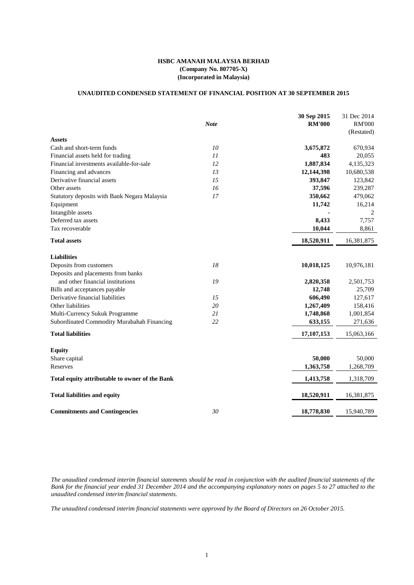#### **HSBC AMANAH MALAYSIA BERHAD (Company No. 807705-X) (Incorporated in Malaysia)**

#### **UNAUDITED CONDENSED STATEMENT OF FINANCIAL POSITION AT 30 SEPTEMBER 2015**

|                                                | <b>Note</b> | 30 Sep 2015<br><b>RM'000</b> | 31 Dec 2014<br><b>RM'000</b><br>(Restated) |
|------------------------------------------------|-------------|------------------------------|--------------------------------------------|
| <b>Assets</b>                                  |             |                              |                                            |
| Cash and short-term funds                      | 10          | 3,675,872                    | 670,934                                    |
| Financial assets held for trading              | 11          | 483                          | 20,055                                     |
| Financial investments available-for-sale       | 12          | 1,887,834                    | 4,135,323                                  |
| Financing and advances                         | 13          | 12,144,398                   | 10,680,538                                 |
| Derivative financial assets                    | 15          | 393,847                      | 123,842                                    |
| Other assets                                   | 16          | 37,596                       | 239,287                                    |
| Statutory deposits with Bank Negara Malaysia   | 17          | 350,662                      | 479,062                                    |
| Equipment                                      |             | 11,742                       | 16,214                                     |
| Intangible assets                              |             |                              | 2                                          |
| Deferred tax assets                            |             | 8,433                        | 7,757                                      |
| Tax recoverable                                |             | 10,044                       | 8,861                                      |
| <b>Total assets</b>                            |             | 18,520,911                   | 16,381,875                                 |
| <b>Liabilities</b>                             |             |                              |                                            |
| Deposits from customers                        | 18          | 10,018,125                   | 10,976,181                                 |
| Deposits and placements from banks             |             |                              |                                            |
| and other financial institutions               | 19          | 2,820,358                    | 2,501,753                                  |
| Bills and acceptances payable                  |             | 12,748                       | 25,709                                     |
| Derivative financial liabilities               | 15          | 606,490                      | 127,617                                    |
| Other liabilities                              | 20          | 1,267,409                    | 158,416                                    |
| Multi-Currency Sukuk Programme                 | 21          | 1,748,868                    | 1,001,854                                  |
| Subordinated Commodity Murabahah Financing     | 22          | 633,155                      | 271,636                                    |
| <b>Total liabilities</b>                       |             | 17,107,153                   | 15,063,166                                 |
| <b>Equity</b>                                  |             |                              |                                            |
| Share capital                                  |             | 50,000                       | 50,000                                     |
| Reserves                                       |             | 1,363,758                    | 1,268,709                                  |
| Total equity attributable to owner of the Bank |             | 1,413,758                    | 1,318,709                                  |
| <b>Total liabilities and equity</b>            |             | 18,520,911                   | 16,381,875                                 |
| <b>Commitments and Contingencies</b>           | 30          | 18,778,830                   | 15,940,789                                 |

The unaudited condensed interim financial statements should be read in conjunction with the audited financial statements of the Bank for the financial year ended 31 December 2014 and the accompanying explanatory notes on pages 5 to 27 attached to the *unaudited condensed interim financial statements.*

The unaudited condensed interim financial statements were approved by the Board of Directors on 26 October 2015.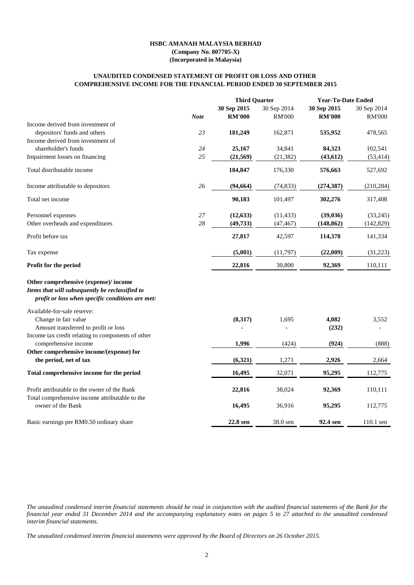#### **HSBC AMANAH MALAYSIA BERHAD (Company No. 807705-X)**

**(Incorporated in Malaysia)**

#### **COMPREHENSIVE INCOME FOR THE FINANCIAL PERIOD ENDED 30 SEPTEMBER 2015 UNAUDITED CONDENSED STATEMENT OF PROFIT OR LOSS AND OTHER**

|                                                                                          |             | <b>Third Quarter</b>         |                              | <b>Year-To-Date Ended</b>    |                              |
|------------------------------------------------------------------------------------------|-------------|------------------------------|------------------------------|------------------------------|------------------------------|
|                                                                                          | <b>Note</b> | 30 Sep 2015<br><b>RM'000</b> | 30 Sep 2014<br><b>RM'000</b> | 30 Sep 2015<br><b>RM'000</b> | 30 Sep 2014<br><b>RM'000</b> |
| Income derived from investment of                                                        |             |                              |                              |                              |                              |
| depositors' funds and others                                                             | 23          | 181,249                      | 162,871                      | 535,952                      | 478,565                      |
| Income derived from investment of                                                        |             |                              |                              |                              |                              |
| shareholder's funds                                                                      | 24          | 25,167                       | 34,841                       | 84,323                       | 102,541                      |
| Impairment losses on financing                                                           | 25          | (21, 569)                    | (21, 382)                    | (43, 612)                    | (53, 414)                    |
| Total distributable income                                                               |             | 184,847                      | 176,330                      | 576,663                      | 527,692                      |
| Income attributable to depositors                                                        | 26          | (94, 664)                    | (74, 833)                    | (274, 387)                   | (210, 284)                   |
| Total net income                                                                         |             | 90,183                       | 101,497                      | 302,276                      | 317,408                      |
| Personnel expenses                                                                       | 27          | (12, 633)                    | (11, 433)                    | (39, 036)                    | (33,245)                     |
| Other overheads and expenditures                                                         | 28          | (49, 733)                    | (47, 467)                    | (148, 862)                   | (142, 829)                   |
| Profit before tax                                                                        |             | 27,817                       | 42,597                       | 114,378                      | 141,334                      |
| Tax expense                                                                              |             | (5,001)                      | (11,797)                     | (22,009)                     | (31,223)                     |
| Profit for the period                                                                    |             | 22,816                       | 30,800                       | 92,369                       | 110,111                      |
| Other comprehensive (expense)/ income<br>Items that will subsequently be reclassified to |             |                              |                              |                              |                              |
| profit or loss when specific conditions are met:                                         |             |                              |                              |                              |                              |
| Available-for-sale reserve:                                                              |             |                              |                              |                              |                              |
| Change in fair value<br>Amount transferred to profit or loss                             |             | (8,317)                      | 1,695                        | 4,082<br>(232)               | 3,552                        |
| Income tax credit relating to components of other                                        |             |                              |                              |                              |                              |
| comprehensive income                                                                     |             | 1,996                        | (424)                        | (924)                        | (888)                        |
| Other comprehensive income/(expense) for                                                 |             |                              |                              |                              |                              |
| the period, net of tax                                                                   |             | (6,321)                      | 1,271                        | 2,926                        | 2,664                        |
| Total comprehensive income for the period                                                |             | 16,495                       | 32,071                       | 95,295                       | 112,775                      |
| Profit attributable to the owner of the Bank                                             |             | 22,816                       | 38,024                       | 92,369                       | 110,111                      |
| Total comprehensive income attributable to the<br>owner of the Bank                      |             | 16,495                       | 36,916                       | 95,295                       | 112,775                      |
| Basic earnings per RM0.50 ordinary share                                                 |             | 22.8 sen                     | 38.0 sen                     | 92.4 sen                     | 110.1 sen                    |

The unaudited condensed interim financial statements should be read in conjunction with the audited financial statements of the Bank for the financial year ended 31 December 2014 and the accompanying explanatory notes on pages 5 to 27 attached to the unaudited condensed *interim financial statements.*

The unaudited condensed interim financial statements were approved by the Board of Directors on 26 October 2015.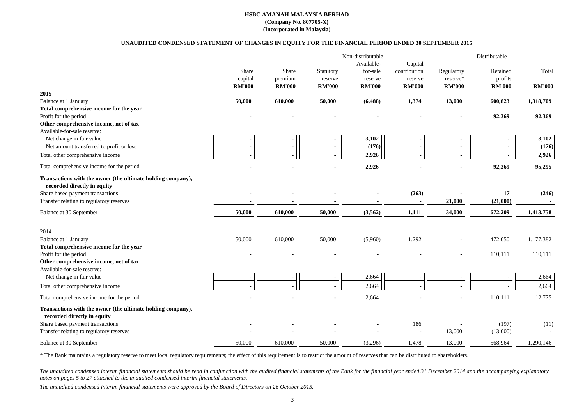|                                                                                                                                                                            |               |               |               | Non-distributable |               |               | Distributable  |               |
|----------------------------------------------------------------------------------------------------------------------------------------------------------------------------|---------------|---------------|---------------|-------------------|---------------|---------------|----------------|---------------|
|                                                                                                                                                                            |               |               |               | Available-        | Capital       |               |                |               |
|                                                                                                                                                                            | Share         | Share         | Statutory     | for-sale          | contribution  | Regulatory    | Retained       | Total         |
|                                                                                                                                                                            | capital       | premium       | reserve       | reserve           | reserve       | reserve*      | profits        |               |
|                                                                                                                                                                            | <b>RM'000</b> | <b>RM'000</b> | <b>RM'000</b> | <b>RM'000</b>     | <b>RM'000</b> | <b>RM'000</b> | <b>RM'000</b>  | <b>RM'000</b> |
| 2015                                                                                                                                                                       |               |               |               |                   |               |               |                |               |
| Balance at 1 January                                                                                                                                                       | 50,000        | 610,000       | 50,000        | (6, 488)          | 1,374         | 13,000        | 600,823        | 1,318,709     |
| Total comprehensive income for the year                                                                                                                                    |               |               |               |                   |               |               |                |               |
| Profit for the period                                                                                                                                                      |               |               |               |                   |               |               | 92,369         | 92,369        |
| Other comprehensive income, net of tax                                                                                                                                     |               |               |               |                   |               |               |                |               |
| Available-for-sale reserve:                                                                                                                                                |               |               |               |                   |               |               |                |               |
| Net change in fair value                                                                                                                                                   |               |               |               | 3,102             |               |               |                | 3,102         |
| Net amount transferred to profit or loss                                                                                                                                   |               |               |               | (176)             |               |               |                | (176)         |
| Total other comprehensive income                                                                                                                                           |               |               |               | 2,926             |               |               |                | 2,926         |
| Total comprehensive income for the period                                                                                                                                  |               |               |               | 2,926             |               |               | 92,369         | 95,295        |
| Transactions with the owner (the ultimate holding company),<br>recorded directly in equity<br>Share based payment transactions<br>Transfer relating to regulatory reserves |               |               |               |                   | (263)         | 21,000        | 17<br>(21,000) | (246)         |
|                                                                                                                                                                            |               |               |               |                   |               |               |                |               |
| Balance at 30 September                                                                                                                                                    | 50,000        | 610,000       | 50,000        | (3,562)           | 1,111         | 34,000        | 672,209        | 1,413,758     |
| 2014                                                                                                                                                                       |               |               |               |                   |               |               |                |               |
| <b>Balance at 1 January</b>                                                                                                                                                | 50,000        | 610,000       | 50,000        | (5,960)           | 1,292         |               | 472,050        | 1,177,382     |
| Total comprehensive income for the year                                                                                                                                    |               |               |               |                   |               |               |                |               |
| Profit for the period                                                                                                                                                      |               |               |               |                   |               |               | 110,111        | 110,111       |
| Other comprehensive income, net of tax                                                                                                                                     |               |               |               |                   |               |               |                |               |
| Available-for-sale reserve:                                                                                                                                                |               |               |               |                   |               |               |                |               |
| Net change in fair value                                                                                                                                                   |               |               |               | 2,664             |               |               |                | 2,664         |
| Total other comprehensive income                                                                                                                                           |               |               |               | 2,664             |               |               |                | 2,664         |
| Total comprehensive income for the period                                                                                                                                  |               |               |               | 2,664             |               |               | 110,111        | 112,775       |
| Transactions with the owner (the ultimate holding company),<br>recorded directly in equity                                                                                 |               |               |               |                   |               |               |                |               |
| Share based payment transactions                                                                                                                                           |               |               |               |                   | 186           |               | (197)          | (11)          |
| Transfer relating to regulatory reserves                                                                                                                                   |               |               |               |                   |               | 13,000        | (13,000)       |               |
| Balance at 30 September                                                                                                                                                    | 50,000        | 610,000       | 50,000        | (3,296)           | 1,478         | 13,000        | 568,964        | 1,290,146     |
|                                                                                                                                                                            |               |               |               |                   |               |               |                |               |

The unaudited condensed interim financial statements should be read in conjunction with the audited financial statements of the Bank for the financial year ended 31 December 2014 and the accompanying explanatory *notes on pages 5 to 27 attached to the unaudited condensed interim financial statements.*

The unaudited condensed interim financial statements were approved by the Board of Directors on 26 October 2015.

\* The Bank maintains a regulatory reserve to meet local regulatory requirements; the effect of this requirement is to restrict the amount of reserves that can be distributed to shareholders.

#### **HSBC AMANAH MALAYSIA BERHAD (Company No. 807705-X) (Incorporated in Malaysia)**

#### **UNAUDITED CONDENSED STATEMENT OF CHANGES IN EQUITY FOR THE FINANCIAL PERIOD ENDED 30 SEPTEMBER 2015**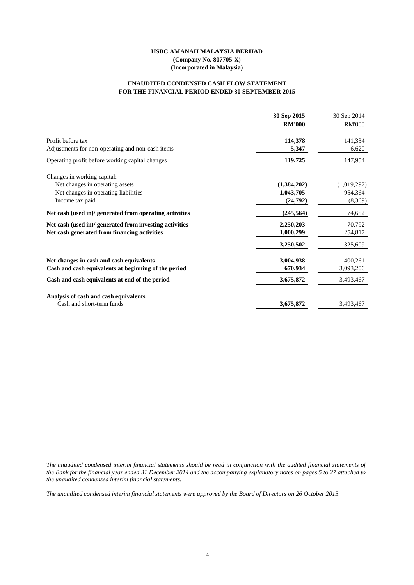#### **HSBC AMANAH MALAYSIA BERHAD (Company No. 807705-X) (Incorporated in Malaysia)**

#### **FOR THE FINANCIAL PERIOD ENDED 30 SEPTEMBER 2015 UNAUDITED CONDENSED CASH FLOW STATEMENT**

|                                                         | 30 Sep 2015   | 30 Sep 2014   |
|---------------------------------------------------------|---------------|---------------|
|                                                         | <b>RM'000</b> | <b>RM'000</b> |
| Profit before tax                                       | 114,378       | 141,334       |
| Adjustments for non-operating and non-cash items        | 5,347         | 6,620         |
| Operating profit before working capital changes         | 119,725       | 147,954       |
| Changes in working capital:                             |               |               |
| Net changes in operating assets                         | (1,384,202)   | (1,019,297)   |
| Net changes in operating liabilities                    | 1,043,705     | 954,364       |
| Income tax paid                                         | (24,792)      | (8,369)       |
| Net cash (used in)/ generated from operating activities | (245, 564)    | 74,652        |
| Net cash (used in)/ generated from investing activities | 2,250,203     | 70,792        |
| Net cash generated from financing activities            | 1,000,299     | 254,817       |
|                                                         | 3,250,502     | 325,609       |
| Net changes in cash and cash equivalents                | 3,004,938     | 400,261       |
| Cash and cash equivalents at beginning of the period    | 670,934       | 3,093,206     |
| Cash and cash equivalents at end of the period          | 3,675,872     | 3,493,467     |
| Analysis of cash and cash equivalents                   |               |               |
| Cash and short-term funds                               | 3,675,872     | 3,493,467     |

The unaudited condensed interim financial statements should be read in conjunction with the audited financial statements of the Bank for the financial year ended 31 December 2014 and the accompanying explanatory notes on pages 5 to 27 attached to *the unaudited condensed interim financial statements.*

The unaudited condensed interim financial statements were approved by the Board of Directors on 26 October 2015.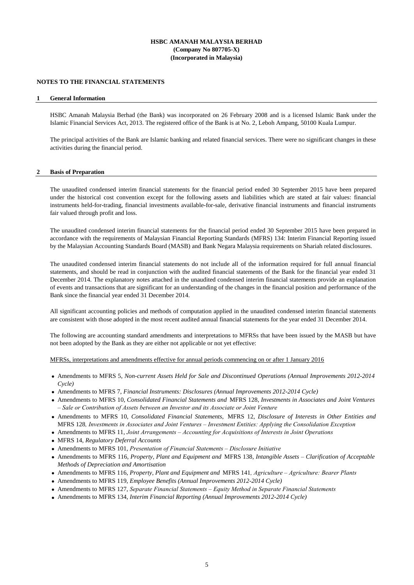#### **HSBC AMANAH MALAYSIA BERHAD (Company No 807705-X) (Incorporated in Malaysia)**

#### **NOTES TO THE FINANCIAL STATEMENTS**

#### **1 General Information**

HSBC Amanah Malaysia Berhad (the Bank) was incorporated on 26 February 2008 and is a licensed Islamic Bank under the Islamic Financial Services Act, 2013. The registered office of the Bank is at No. 2, Leboh Ampang, 50100 Kuala Lumpur.

The principal activities of the Bank are Islamic banking and related financial services. There were no significant changes in these activities during the financial period.

#### **2 Basis of Preparation**

The unaudited condensed interim financial statements for the financial period ended 30 September 2015 have been prepared under the historical cost convention except for the following assets and liabilities which are stated at fair values: financial instruments held-for-trading, financial investments available-for-sale, derivative financial instruments and financial instruments fair valued through profit and loss.

The unaudited condensed interim financial statements for the financial period ended 30 September 2015 have been prepared in accordance with the requirements of Malaysian Financial Reporting Standards (MFRS) 134: Interim Financial Reporting issued by the Malaysian Accounting Standards Board (MASB) and Bank Negara Malaysia requirements on Shariah related disclosures.

The unaudited condensed interim financial statements do not include all of the information required for full annual financial statements, and should be read in conjunction with the audited financial statements of the Bank for the financial year ended 31 December 2014. The explanatory notes attached in the unaudited condensed interim financial statements provide an explanation of events and transactions that are significant for an understanding of the changes in the financial position and performance of the Bank since the financial year ended 31 December 2014.

All significant accounting policies and methods of computation applied in the unaudited condensed interim financial statements are consistent with those adopted in the most recent audited annual financial statements for the year ended 31 December 2014.

The following are accounting standard amendments and interpretations to MFRSs that have been issued by the MASB but have not been adopted by the Bank as they are either not applicable or not yet effective:

MFRSs, interpretations and amendments effective for annual periods commencing on or after 1 January 2016

- Amendments to MFRS 5, *Non-current Assets Held for Sale and Discontinued Operations (Annual Improvements 2012-2014 Cycle)*
- Amendments to MFRS 7, *Financial Instruments: Disclosures (Annual Improvements 2012-2014 Cycle)*
- Amendments to MFRS 10, *Consolidated Financial Statements and* MFRS 128, *Investments in Associates and Joint Ventures – Sale or Contribution of Assets between an Investor and its Associate or Joint Venture*
- Amendments to MFRS 10, *Consolidated Financial Statements,* MFRS 12*, Disclosure of Interests in Other Entities and* MFRS 128*, Investments in Associates and Joint Ventures – Investment Entities: Applying the Consolidation Exception*
- Amendments to MFRS 11, *Joint Arrangements Accounting for Acquisitions of Interests in Joint Operations*
- MFRS 14, *Regulatory Deferral Accounts*
- Amendments to MFRS 101, *Presentation of Financial Statements Disclosure Initiative*
- Amendments to MFRS 116, *Property, Plant and Equipment and* MFRS 138*, Intangible Assets – Clarification of Acceptable Methods of Depreciation and Amortisation*
- Amendments to MFRS 116, *Property, Plant and Equipment and* MFRS 141*, Agriculture Agriculture: Bearer Plants*
- Amendments to MFRS 119, *Employee Benefits (Annual Improvements 2012-2014 Cycle)*
- Amendments to MFRS 127, *Separate Financial Statements Equity Method in Separate Financial Statements*
- Amendments to MFRS 134, *Interim Financial Reporting (Annual Improvements 2012-2014 Cycle)*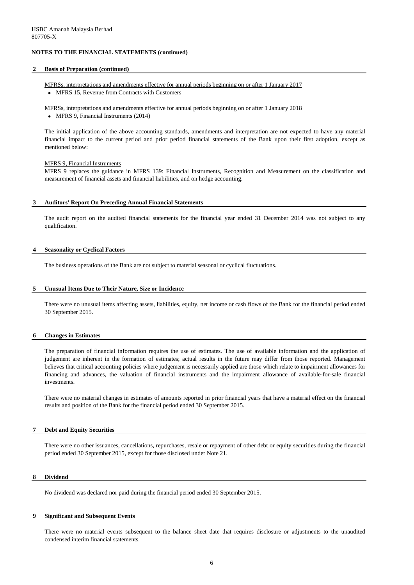#### **2 Basis of Preparation (continued)**

MFRSs, interpretations and amendments effective for annual periods beginning on or after 1 January 2017

• MFRS 15, Revenue from Contracts with Customers

MFRSs, interpretations and amendments effective for annual periods beginning on or after 1 January 2018

• MFRS 9, Financial Instruments (2014)

#### MFRS 9, Financial Instruments

#### **3 Auditors' Report On Preceding Annual Financial Statements**

#### **4 Seasonality or Cyclical Factors**

The business operations of the Bank are not subject to material seasonal or cyclical fluctuations.

#### **5 Unusual Items Due to Their Nature, Size or Incidence**

#### **6 Changes in Estimates**

#### **7 Debt and Equity Securities**

No dividend was declared nor paid during the financial period ended 30 September 2015.

#### **9 Significant and Subsequent Events**

The initial application of the above accounting standards, amendments and interpretation are not expected to have any material financial impact to the current period and prior period financial statements of the Bank upon their first adoption, except as mentioned below:

There were no other issuances, cancellations, repurchases, resale or repayment of other debt or equity securities during the financial period ended 30 September 2015, except for those disclosed under Note 21.

There were no material events subsequent to the balance sheet date that requires disclosure or adjustments to the unaudited condensed interim financial statements.

MFRS 9 replaces the guidance in MFRS 139: Financial Instruments, Recognition and Measurement on the classification and measurement of financial assets and financial liabilities, and on hedge accounting.

The audit report on the audited financial statements for the financial year ended 31 December 2014 was not subject to any qualification.

There were no unusual items affecting assets, liabilities, equity, net income or cash flows of the Bank for the financial period ended 30 September 2015.

The preparation of financial information requires the use of estimates. The use of available information and the application of judgement are inherent in the formation of estimates; actual results in the future may differ from those reported. Management believes that critical accounting policies where judgement is necessarily applied are those which relate to impairment allowances for financing and advances, the valuation of financial instruments and the impairment allowance of available-for-sale financial investments.

There were no material changes in estimates of amounts reported in prior financial years that have a material effect on the financial results and position of the Bank for the financial period ended 30 September 2015.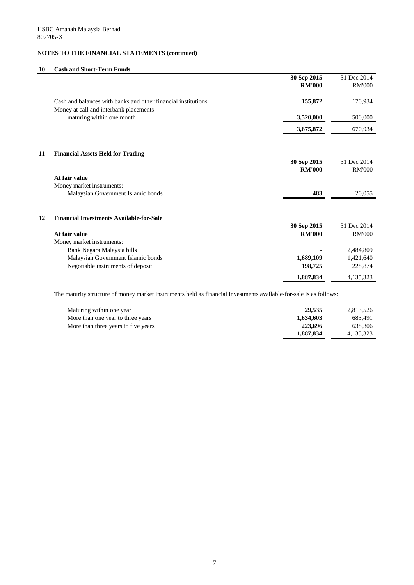#### **10 Cash and Short-Term Funds**

|                                                               | 30 Sep 2015   | 31 Dec 2014   |
|---------------------------------------------------------------|---------------|---------------|
|                                                               | <b>RM'000</b> | <b>RM'000</b> |
|                                                               |               |               |
| Cash and balances with banks and other financial institutions | 155,872       | 170,934       |
| Money at call and interbank placements                        |               |               |
| maturing within one month                                     | 3,520,000     | 500,000       |
|                                                               | 3,675,872     | 670,934       |
|                                                               |               |               |
| <b>Financial Assets Held for Trading</b><br>11                |               |               |
|                                                               | 30 Sep 2015   | 31 Dec 2014   |
|                                                               | <b>RM'000</b> | <b>RM'000</b> |
| At fair value                                                 |               |               |
| Money market instruments:                                     |               |               |
| Malaysian Government Islamic bonds                            | 483           | 20,055        |
|                                                               |               |               |
| <b>Financial Investments Available-for-Sale</b><br>12         |               |               |
|                                                               | 30 Sep 2015   | 31 Dec 2014   |
| At fair value                                                 | <b>RM'000</b> | <b>RM'000</b> |
| Money market instruments:                                     |               |               |
| Bank Negara Malaysia bills                                    |               | 2,484,809     |
| Malaysian Government Islamic bonds                            | 1,689,109     | 1,421,640     |
| Negotiable instruments of deposit                             | 198,725       | 228,874       |
|                                                               | 1,887,834     | 4,135,323     |

The maturity structure of money market instruments held as financial investments available-for-sale is as follows:

| Maturing within one year            | 29,535    | 2,813,526   |
|-------------------------------------|-----------|-------------|
| More than one year to three years   | 1,634,603 | 683,491     |
| More than three years to five years | 223,696   | 638,306     |
|                                     | 1,887,834 | 4, 135, 323 |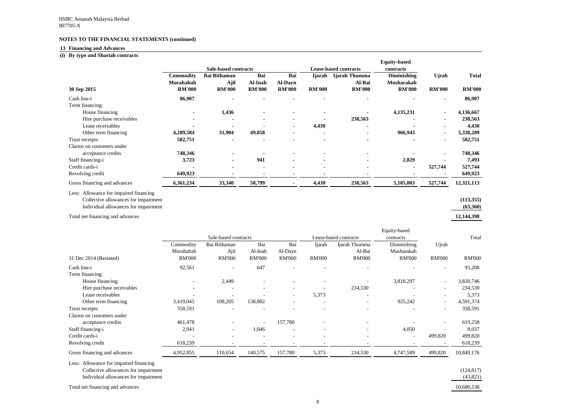#### **13 Financing and Advances**

#### **(i) By type and Shariah contracts**

| By type and Shariah contracts                                                                                          |                               |                                              |                                 |                                        |                              |                         |                                         |                               |                               |
|------------------------------------------------------------------------------------------------------------------------|-------------------------------|----------------------------------------------|---------------------------------|----------------------------------------|------------------------------|-------------------------|-----------------------------------------|-------------------------------|-------------------------------|
|                                                                                                                        |                               |                                              |                                 |                                        |                              |                         | <b>Equity-based</b>                     |                               |                               |
|                                                                                                                        |                               | <b>Sale-based contracts</b>                  |                                 |                                        | <b>Lease-based contracts</b> |                         | contracts                               |                               |                               |
|                                                                                                                        | <b>Commodity</b><br>Murabahah | <b>Bai Bithaman</b><br>Ajil<br><b>RM'000</b> | Bai<br>Al-Inah<br><b>RM'000</b> | Bai<br><b>Al-Dayn</b><br><b>RM'000</b> | <b>Ijarah</b>                | Ijarah Thumma<br>Al-Bai | <b>Diminishing</b><br><b>Musharakah</b> | <b>Ujrah</b><br><b>RM'000</b> | <b>Total</b><br><b>RM'000</b> |
| 30 Sep 2015                                                                                                            | <b>RM'000</b>                 |                                              |                                 |                                        | <b>RM'000</b>                | <b>RM'000</b>           | <b>RM'000</b>                           |                               |                               |
| Cash line-i                                                                                                            | 86,907                        |                                              |                                 |                                        |                              |                         |                                         | $\blacksquare$                | 86,907                        |
| Term financing:                                                                                                        |                               |                                              |                                 |                                        |                              |                         |                                         |                               |                               |
| House financing                                                                                                        |                               | 1,436                                        |                                 |                                        |                              |                         | 4,135,231                               |                               | 4,136,667                     |
| Hire purchase receivables                                                                                              |                               |                                              |                                 |                                        |                              | 238,563                 |                                         |                               | 238,563                       |
| Lease receivables                                                                                                      |                               |                                              |                                 |                                        | 4,430                        |                         |                                         |                               | 4,430                         |
| Other term financing                                                                                                   | 4,289,584                     | 31,904                                       | 49,858                          |                                        |                              |                         | 966,943                                 |                               | 5,338,289                     |
| Trust receipts                                                                                                         | 582,751                       |                                              |                                 |                                        | $\blacksquare$               |                         |                                         | $\blacksquare$                | 582,751                       |
| Claims on customers under<br>acceptance credits                                                                        | 748,346                       |                                              |                                 |                                        |                              |                         |                                         |                               | 748,346                       |
| Staff financing-i                                                                                                      | 3,723                         |                                              | 941                             |                                        |                              |                         | 2,829                                   |                               | 7,493                         |
| Credit cards-i                                                                                                         |                               |                                              |                                 |                                        |                              |                         |                                         | 527,744                       | 527,744                       |
| Revolving credit                                                                                                       | 649,923                       |                                              |                                 | $\blacksquare$                         |                              |                         |                                         |                               | 649,923                       |
| Gross financing and advances                                                                                           | 6,361,234                     | 33,340                                       | 50,799                          | $\blacksquare$                         | 4,430                        | 238,563                 | 5,105,003                               | 527,744                       | 12,321,113                    |
| Less: Allowance for impaired financing<br>Collective allowances for impairment<br>Individual allowances for impairment |                               |                                              |                                 |                                        |                              |                         |                                         |                               | (113, 355)<br>(63,360)        |
|                                                                                                                        |                               |                                              |                                 |                                        |                              |                         |                                         |                               |                               |
| Total net financing and advances                                                                                       |                               |                                              |                                 |                                        |                              |                         |                                         |                               | 12,144,398                    |
|                                                                                                                        |                               |                                              |                                 |                                        |                              |                         | Equity-based                            |                               |                               |
|                                                                                                                        |                               | Sale-based contracts                         |                                 |                                        |                              | Lease-based contracts   | contracts                               |                               | Total                         |

|                                      |                          |               |                      |                          |                                    | Equity-based             |                          |               |  |
|--------------------------------------|--------------------------|---------------|----------------------|--------------------------|------------------------------------|--------------------------|--------------------------|---------------|--|
|                                      |                          |               |                      |                          | Lease-based contracts<br>contracts |                          |                          | Total         |  |
| Commodity                            | Bai Bithaman             | Bai           | Bai                  | <b>I</b> jarah           | Ijarah Thumma                      | Diminishing              | Ujrah                    |               |  |
| Murabahah                            | Ajil                     | Al-Inah       | Al-Dayn              |                          | Al-Bai                             | Musharakah               |                          |               |  |
| <b>RM'000</b>                        | <b>RM'000</b>            | <b>RM'000</b> | <b>RM'000</b>        | <b>RM'000</b>            | <b>RM'000</b>                      | <b>RM'000</b>            | <b>RM'000</b>            | <b>RM'000</b> |  |
| 92,561                               | $\overline{\phantom{a}}$ | 647           |                      |                          |                                    |                          | $\overline{\phantom{a}}$ | 93,208        |  |
|                                      |                          |               |                      |                          |                                    |                          |                          |               |  |
|                                      | 2,449                    |               |                      |                          |                                    | 3,818,297                | $\overline{\phantom{a}}$ | 3,820,746     |  |
|                                      |                          |               |                      |                          | 234,530                            |                          | $\sim$                   | 234,530       |  |
|                                      |                          |               |                      | 5,373                    |                                    |                          |                          | 5,373         |  |
| 3,419,045                            | 108,205                  | 138,882       |                      |                          |                                    | 925,242                  | $\overline{\phantom{a}}$ | 4,591,374     |  |
| 358,591                              |                          |               |                      |                          |                                    |                          | $\overline{\phantom{a}}$ | 358,591       |  |
|                                      |                          |               |                      |                          |                                    |                          |                          |               |  |
| 461,478                              |                          |               | 157,780              |                          |                                    |                          |                          | 619,258       |  |
| 2,941                                | $\overline{\phantom{a}}$ | 1,046         |                      | $\overline{\phantom{a}}$ |                                    | 4,050                    |                          | 8,037         |  |
|                                      |                          |               |                      | $\overline{\phantom{a}}$ |                                    | $\overline{\phantom{a}}$ | 499,820                  | 499,820       |  |
| 618,239                              |                          |               |                      |                          |                                    |                          |                          | 618,239       |  |
| 4,952,855                            | 110,654                  | 140,575       | 157,780              | 5,373                    | 234,530                            | 4,747,589                | 499,820                  | 10,849,176    |  |
|                                      |                          |               |                      |                          |                                    |                          |                          |               |  |
| Collective allowances for impairment |                          |               |                      |                          |                                    |                          |                          | (124, 817)    |  |
| Individual allowances for impairment |                          |               |                      |                          |                                    |                          |                          | (43, 821)     |  |
|                                      |                          |               | Sale-based contracts |                          |                                    |                          |                          |               |  |

Total net financing and advances 10,680,538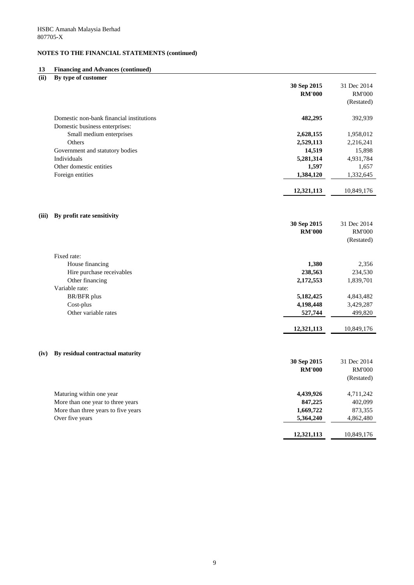### **13 Financing and Advances (continued)**

| (ii)  | By type of customer                      |               |               |
|-------|------------------------------------------|---------------|---------------|
|       |                                          | 30 Sep 2015   | 31 Dec 2014   |
|       |                                          | <b>RM'000</b> | <b>RM'000</b> |
|       |                                          |               | (Restated)    |
|       |                                          |               |               |
|       | Domestic non-bank financial institutions | 482,295       | 392,939       |
|       | Domestic business enterprises:           |               |               |
|       | Small medium enterprises                 | 2,628,155     | 1,958,012     |
|       | Others                                   | 2,529,113     | 2,216,241     |
|       | Government and statutory bodies          | 14,519        | 15,898        |
|       | Individuals                              | 5,281,314     | 4,931,784     |
|       | Other domestic entities                  | 1,597         | 1,657         |
|       | Foreign entities                         | 1,384,120     | 1,332,645     |
|       |                                          |               |               |
|       |                                          | 12,321,113    | 10,849,176    |
|       |                                          |               |               |
| (iii) |                                          |               |               |
|       | By profit rate sensitivity               | 30 Sep 2015   | 31 Dec 2014   |
|       |                                          | <b>RM'000</b> | <b>RM'000</b> |
|       |                                          |               | (Restated)    |
|       |                                          |               |               |
|       | Fixed rate:                              |               |               |
|       | House financing                          | 1,380         | 2,356         |
|       | Hire purchase receivables                | 238,563       | 234,530       |
|       | Other financing                          | 2,172,553     | 1,839,701     |
|       | Variable rate:                           |               |               |
|       | BR/BFR plus                              | 5,182,425     | 4,843,482     |
|       | Cost-plus                                | 4,198,448     | 3,429,287     |
|       | Other variable rates                     | 527,744       | 499,820       |
|       |                                          |               |               |
|       |                                          | 12,321,113    | 10,849,176    |
|       |                                          |               |               |
| (iv)  | By residual contractual maturity         |               |               |
|       |                                          | 30 Sep 2015   | 31 Dec 2014   |
|       |                                          | <b>RM'000</b> | <b>RM'000</b> |
|       |                                          |               | (Restated)    |
|       |                                          |               |               |
|       | Maturing within one year                 | 4,439,926     | 4,711,242     |
|       | More than one year to three years        | 847,225       | 402,099       |
|       | More than three years to five years      | 1,669,722     | 873,355       |
|       | Over five years                          | 5,364,240     | 4,862,480     |
|       |                                          |               |               |
|       |                                          | 12,321,113    | 10,849,176    |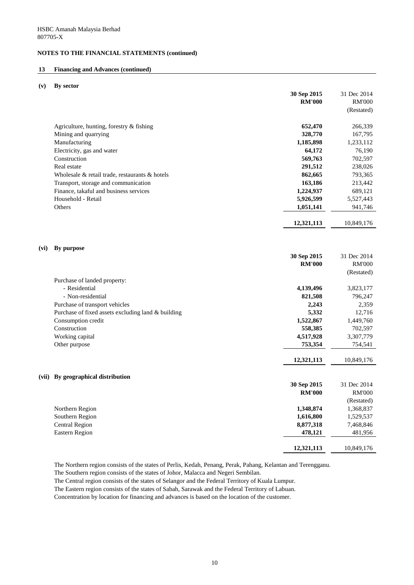#### **13 Financing and Advances (continued)**

**(v) By sector**

|                                                    | 30 Sep 2015   | 31 Dec 2014   |
|----------------------------------------------------|---------------|---------------|
|                                                    | <b>RM'000</b> | <b>RM'000</b> |
|                                                    |               | (Restated)    |
| Agriculture, hunting, forestry $\&$ fishing        | 652,470       | 266,339       |
| Mining and quarrying                               | 328,770       | 167,795       |
| Manufacturing                                      | 1,185,898     | 1,233,112     |
| Electricity, gas and water                         | 64,172        | 76,190        |
| Construction                                       | 569,763       | 702,597       |
| Real estate                                        | 291,512       | 238,026       |
| Wholesale & retail trade, restaurants & hotels     | 862,665       | 793,365       |
| Transport, storage and communication               | 163,186       | 213,442       |
| Finance, takaful and business services             | 1,224,937     | 689,121       |
| Household - Retail                                 | 5,926,599     | 5,527,443     |
| Others                                             | 1,051,141     | 941,746       |
|                                                    | 12,321,113    | 10,849,176    |
|                                                    |               |               |
| By purpose<br>(vi)                                 |               |               |
|                                                    | 30 Sep 2015   | 31 Dec 2014   |
|                                                    | <b>RM'000</b> | <b>RM'000</b> |
|                                                    |               | (Restated)    |
| Purchase of landed property:                       |               |               |
| - Residential                                      | 4,139,496     | 3,823,177     |
| - Non-residential                                  | 821,508       | 796,247       |
| Purchase of transport vehicles                     | 2,243         | 2,359         |
| Purchase of fixed assets excluding land & building | 5,332         | 12,716        |
| Consumption credit                                 | 1,522,867     | 1,449,760     |
| Construction                                       | 558,385       | 702,597       |
| Working capital                                    | 4,517,928     | 3,307,779     |
| Other purpose                                      | 753,354       | 754,541       |
|                                                    | 12,321,113    | 10,849,176    |
| By geographical distribution<br>(vii)              |               |               |
|                                                    | 30 Sep 2015   | 31 Dec 2014   |
|                                                    | <b>RM'000</b> | <b>RM'000</b> |
|                                                    |               | (Restated)    |
| Northern Region                                    | 1,348,874     | 1,368,837     |
| Southern Region                                    | 1,616,800     | 1,529,537     |
| <b>Central Region</b>                              | 8,877,318     | 7,468,846     |
| <b>Eastern Region</b>                              | 478,121       | 481,956       |
|                                                    |               |               |
|                                                    | 12,321,113    | 10,849,176    |

The Northern region consists of the states of Perlis, Kedah, Penang, Perak, Pahang, Kelantan and Terengganu.

The Southern region consists of the states of Johor, Malacca and Negeri Sembilan.

The Central region consists of the states of Selangor and the Federal Territory of Kuala Lumpur.

The Eastern region consists of the states of Sabah, Sarawak and the Federal Territory of Labuan.

Concentration by location for financing and advances is based on the location of the customer.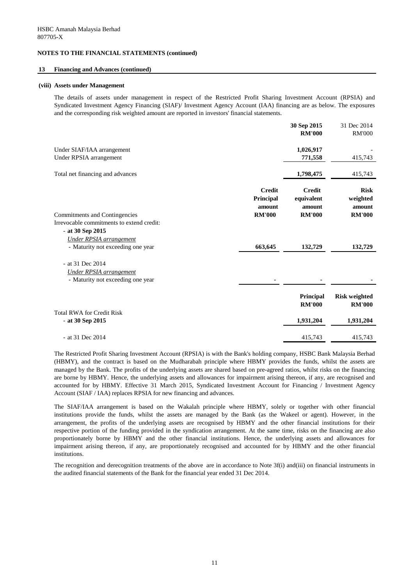#### **13 Financing and Advances (continued)**

#### **(viii) Assets under Management**

The details of assets under management in respect of the Restricted Profit Sharing Investment Account (RPSIA) and Syndicated Investment Agency Financing (SIAF)/ Investment Agency Account (IAA) financing are as below. The exposures and the corresponding risk weighted amount are reported in investors' financial statements.

|                                           |               | 30 Sep 2015                | 31 Dec 2014                           |
|-------------------------------------------|---------------|----------------------------|---------------------------------------|
|                                           |               | <b>RM'000</b>              | <b>RM'000</b>                         |
| Under SIAF/IAA arrangement                |               | 1,026,917                  |                                       |
| Under RPSIA arrangement                   |               | 771,558                    | 415,743                               |
| Total net financing and advances          |               | 1,798,475                  | 415,743                               |
|                                           | <b>Credit</b> | <b>Credit</b>              | <b>Risk</b>                           |
|                                           | Principal     | equivalent                 | weighted                              |
|                                           | amount        | amount                     | amount                                |
| <b>Commitments and Contingencies</b>      | <b>RM'000</b> | <b>RM'000</b>              | <b>RM'000</b>                         |
| Irrevocable commitments to extend credit: |               |                            |                                       |
| - at 30 Sep 2015                          |               |                            |                                       |
| Under RPSIA arrangement                   |               |                            |                                       |
| - Maturity not exceeding one year         | 663,645       | 132,729                    | 132,729                               |
| - at 31 Dec 2014                          |               |                            |                                       |
| <b>Under RPSIA</b> arrangement            |               |                            |                                       |
| - Maturity not exceeding one year         |               |                            |                                       |
|                                           |               | Principal<br><b>RM'000</b> | <b>Risk weighted</b><br><b>RM'000</b> |
| <b>Total RWA for Credit Risk</b>          |               |                            |                                       |
| $-$ at 30 Sep 2015                        |               | 1,931,204                  | 1,931,204                             |
| - at 31 Dec 2014                          |               | 415,743                    | 415,743                               |
|                                           |               |                            |                                       |

The Restricted Profit Sharing Investment Account (RPSIA) is with the Bank's holding company, HSBC Bank Malaysia Berhad (HBMY), and the contract is based on the Mudharabah principle where HBMY provides the funds, whilst the assets are managed by the Bank. The profits of the underlying assets are shared based on pre-agreed ratios, whilst risks on the financing are borne by HBMY. Hence, the underlying assets and allowances for impairment arising thereon, if any, are recognised and accounted for by HBMY. Effective 31 March 2015, Syndicated Investment Account for Financing / Investment Agency Account (SIAF / IAA) replaces RPSIA for new financing and advances.

The SIAF/IAA arrangement is based on the Wakalah principle where HBMY, solely or together with other financial institutions provide the funds, whilst the assets are managed by the Bank (as the Wakeel or agent). However, in the arrangement, the profits of the underlying assets are recognised by HBMY and the other financial institutions for their respective portion of the funding provided in the syndication arrangement. At the same time, risks on the financing are also proportionately borne by HBMY and the other financial institutions. Hence, the underlying assets and allowances for impairment arising thereon, if any, are proportionately recognised and accounted for by HBMY and the other financial institutions.

The recognition and derecognition treatments of the above are in accordance to Note 3f(i) and(iii) on financial instruments in the audited financial statements of the Bank for the financial year ended 31 Dec 2014.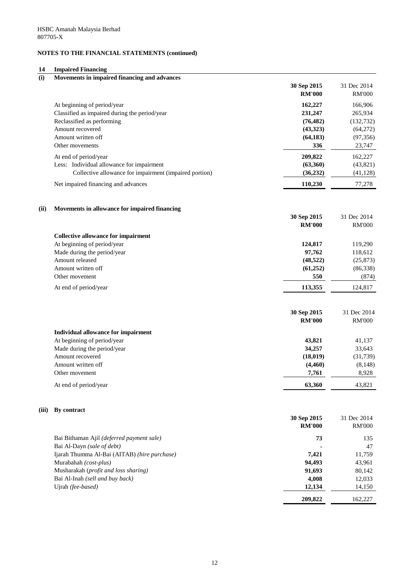#### **14 Impaired Financing**

| (i)   | Movements in impaired financing and advances           |                              |                              |
|-------|--------------------------------------------------------|------------------------------|------------------------------|
|       |                                                        | 30 Sep 2015                  | 31 Dec 2014                  |
|       |                                                        | <b>RM'000</b>                | <b>RM'000</b>                |
|       | At beginning of period/year                            | 162,227                      | 166,906                      |
|       | Classified as impaired during the period/year          | 231,247                      | 265,934                      |
|       | Reclassified as performing                             | (76, 482)                    | (132, 732)                   |
|       | Amount recovered                                       | (43, 323)                    | (64,272)                     |
|       | Amount written off                                     | (64, 183)                    | (97, 356)                    |
|       | Other movements                                        | 336                          | 23,747                       |
|       | At end of period/year                                  | 209,822                      | 162,227                      |
|       | Less: Individual allowance for impairment              | (63,360)                     | (43,821)                     |
|       | Collective allowance for impairment (impaired portion) | (36, 232)                    | (41, 128)                    |
|       | Net impaired financing and advances                    | 110,230                      | 77,278                       |
| (ii)  | Movements in allowance for impaired financing          |                              |                              |
|       |                                                        | 30 Sep 2015                  | 31 Dec 2014                  |
|       |                                                        | <b>RM'000</b>                | <b>RM'000</b>                |
|       | <b>Collective allowance for impairment</b>             |                              |                              |
|       | At beginning of period/year                            | 124,817                      | 119,290                      |
|       | Made during the period/year                            | 97,762                       | 118,612                      |
|       | Amount released                                        | (48, 522)                    | (25, 873)                    |
|       | Amount written off                                     | (61,252)                     | (86,338)                     |
|       | Other movement                                         | 550                          | (874)                        |
|       | At end of period/year                                  | 113,355                      | 124,817                      |
|       |                                                        | 30 Sep 2015                  | 31 Dec 2014                  |
|       |                                                        | <b>RM'000</b>                | <b>RM'000</b>                |
|       | <b>Individual allowance for impairment</b>             |                              |                              |
|       | At beginning of period/year                            | 43,821                       | 41,137                       |
|       | Made during the period/year                            | 34,257                       | 33,643                       |
|       | Amount recovered                                       | (18, 019)                    | (31,739)                     |
|       | Amount written off                                     | (4,460)                      | (8, 148)                     |
|       | Other movement                                         | 7,761                        | 8,928                        |
|       | At end of period/year                                  | 63,360                       | 43,821                       |
| (iii) | By contract                                            |                              |                              |
|       |                                                        | 30 Sep 2015<br><b>RM'000</b> | 31 Dec 2014<br><b>RM'000</b> |

Bai Bithaman Ajil *(deferred payment sale)* **73** 135 Bai Al-Dayn *(sale of debt)* **-** 47 Ijarah Thumma Al-Bai (AITAB) *(hire purchase)* **7,421** 11,759 Murabahah *(cost-plus)* **94,493** 43,961 Musharakah (*profit and loss sharing*) 80,142 Bai Al-Inah *(sell and buy back)* **4,008** 12,033 Ujrah *(fee-based)* 14,150  **209,822** 162,227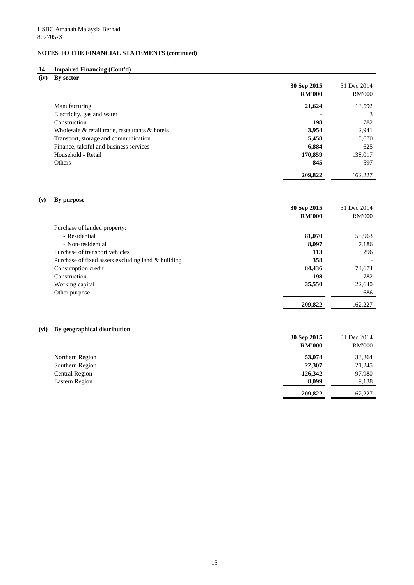### **14 Impaired Financing (Cont'd)**

**(iv) By sector**

|                                                      | 30 Sep 2015<br><b>RM'000</b> | 31 Dec 2014<br><b>RM'000</b> |
|------------------------------------------------------|------------------------------|------------------------------|
| Manufacturing                                        | 21,624                       | 13,592                       |
| Electricity, gas and water                           |                              |                              |
| Construction                                         | 198                          | 782                          |
| Wholesale $\&$ retail trade, restaurants $\&$ hotels | 3,954                        | 2,941                        |
| Transport, storage and communication                 | 5,458                        | 5,670                        |
| Finance, takaful and business services               | 6,884                        | 625                          |
| Household - Retail                                   | 170,859                      | 138,017                      |
| Others                                               | 845                          | 597                          |
|                                                      | 209,822                      | 162,227                      |

### **(v) By purpose**

|                                                    | 30 Sep 2015<br><b>RM'000</b> | 31 Dec 2014<br><b>RM'000</b> |
|----------------------------------------------------|------------------------------|------------------------------|
| Purchase of landed property:                       |                              |                              |
| - Residential                                      | 81,070                       | 55,963                       |
| - Non-residential                                  | 8,097                        | 7,186                        |
| Purchase of transport vehicles                     | 113                          | 296                          |
| Purchase of fixed assets excluding land & building | 358                          |                              |
| Consumption credit                                 | 84,436                       | 74,674                       |
| Construction                                       | 198                          | 782                          |
| Working capital                                    | 35,550                       | 22,640                       |
| Other purpose                                      |                              | 686                          |
|                                                    | 209,822                      | 162,227                      |

### **(vi) By geographical distribution**

|                       | 30 Sep 2015<br><b>RM'000</b> | 31 Dec 2014<br><b>RM'000</b> |
|-----------------------|------------------------------|------------------------------|
| Northern Region       | 53,074                       | 33,864                       |
| Southern Region       | 22,307                       | 21,245                       |
| <b>Central Region</b> | 126,342                      | 97,980                       |
| <b>Eastern Region</b> | 8,099                        | 9,138                        |
|                       | 209,822                      | 162,227                      |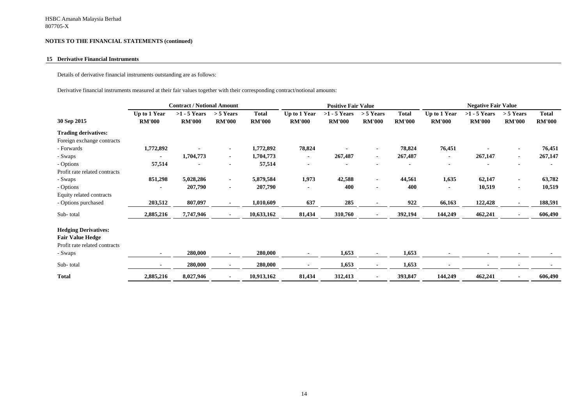#### **15 Derivative Financial Instruments**

Details of derivative financial instruments outstanding are as follows:

Derivative financial instruments measured at their fair values together with their corresponding contract/notional amounts:

|                                                                                         | <b>Contract / Notional Amount</b> |                                 |                              | <b>Positive Fair Value</b>    |                               |                                 | <b>Negative Fair Value</b>   |                               |                               |                                 |                              |                               |
|-----------------------------------------------------------------------------------------|-----------------------------------|---------------------------------|------------------------------|-------------------------------|-------------------------------|---------------------------------|------------------------------|-------------------------------|-------------------------------|---------------------------------|------------------------------|-------------------------------|
| 30 Sep 2015                                                                             | Up to 1 Year<br><b>RM'000</b>     | $>1 - 5$ Years<br><b>RM'000</b> | $> 5$ Years<br><b>RM'000</b> | <b>Total</b><br><b>RM'000</b> | Up to 1 Year<br><b>RM'000</b> | $>1 - 5$ Years<br><b>RM'000</b> | $> 5$ Years<br><b>RM'000</b> | <b>Total</b><br><b>RM'000</b> | Up to 1 Year<br><b>RM'000</b> | $>1 - 5$ Years<br><b>RM'000</b> | $> 5$ Years<br><b>RM'000</b> | <b>Total</b><br><b>RM'000</b> |
| <b>Trading derivatives:</b>                                                             |                                   |                                 |                              |                               |                               |                                 |                              |                               |                               |                                 |                              |                               |
| Foreign exchange contracts                                                              |                                   |                                 |                              |                               |                               |                                 |                              |                               |                               |                                 |                              |                               |
| - Forwards                                                                              | 1,772,892                         |                                 | $\blacksquare$               | 1,772,892                     | 78,824                        |                                 | $\blacksquare$               | 78,824                        | 76,451                        |                                 | $\blacksquare$               | 76,451                        |
| - Swaps                                                                                 |                                   | 1,704,773                       | $\sim$                       | 1,704,773                     | $\blacksquare$                | 267,487                         | $\sim$                       | 267,487                       |                               | 267,147                         | $\blacksquare$               | 267,147                       |
| - Options                                                                               | 57,514                            |                                 |                              | 57,514                        |                               |                                 |                              |                               |                               |                                 |                              |                               |
| Profit rate related contracts                                                           |                                   |                                 |                              |                               |                               |                                 |                              |                               |                               |                                 |                              |                               |
| - Swaps                                                                                 | 851,298                           | 5,028,286                       | $\blacksquare$               | 5,879,584                     | 1,973                         | 42,588                          | $\sim$                       | 44,561                        | 1,635                         | 62,147                          | $\blacksquare$               | 63,782                        |
| - Options                                                                               |                                   | 207,790                         |                              | 207,790                       |                               | 400                             | $\blacksquare$               | 400                           |                               | 10,519                          | $\blacksquare$               | 10,519                        |
| Equity related contracts                                                                |                                   |                                 |                              |                               |                               |                                 |                              |                               |                               |                                 |                              |                               |
| - Options purchased                                                                     | 203,512                           | 807,097                         | $\sim$                       | 1,010,609                     | 637                           | 285                             | $\sim$                       | 922                           | 66,163                        | 122,428                         | $\blacksquare$               | 188,591                       |
| Sub-total                                                                               | 2,885,216                         | 7,747,946                       |                              | 10,633,162                    | 81,434                        | 310,760                         |                              | 392,194                       | 144,249                       | 462,241                         | $\blacksquare$               | 606,490                       |
| <b>Hedging Derivatives:</b><br><b>Fair Value Hedge</b><br>Profit rate related contracts |                                   |                                 |                              |                               |                               |                                 |                              |                               |                               |                                 |                              |                               |
| - Swaps                                                                                 | ۰                                 | 280,000                         |                              | 280,000                       | $\blacksquare$                | 1,653                           | $\sim$                       | 1,653                         |                               |                                 | $\blacksquare$               |                               |
| Sub-total                                                                               | ۰                                 | 280,000                         |                              | 280,000                       |                               | 1,653                           | $\blacksquare$               | 1,653                         |                               | $\blacksquare$                  |                              |                               |
| <b>Total</b>                                                                            | 2,885,216                         | 8,027,946                       |                              | 10,913,162                    | 81,434                        | 312,413                         |                              | 393,847                       | 144,249                       | 462,241                         | $\blacksquare$               | 606,490                       |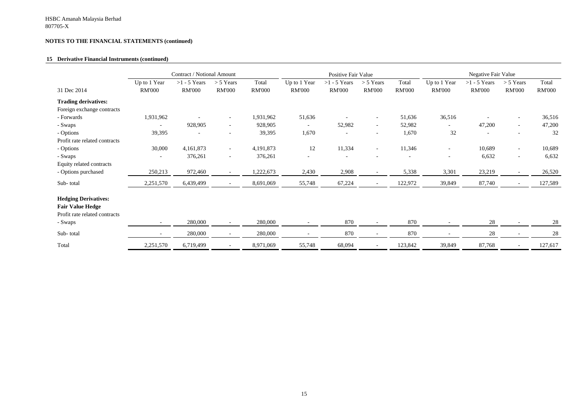#### **15 Derivative Financial Instruments (continued)**

|                                                                                         | Contract / Notional Amount    |                                 |                              | Positive Fair Value    |                               |                                 | Negative Fair Value          |                        |                               |                                 |                              |                        |
|-----------------------------------------------------------------------------------------|-------------------------------|---------------------------------|------------------------------|------------------------|-------------------------------|---------------------------------|------------------------------|------------------------|-------------------------------|---------------------------------|------------------------------|------------------------|
| 31 Dec 2014                                                                             | Up to 1 Year<br><b>RM'000</b> | $>1 - 5$ Years<br><b>RM'000</b> | $> 5$ Years<br><b>RM'000</b> | Total<br><b>RM'000</b> | Up to 1 Year<br><b>RM'000</b> | $>1 - 5$ Years<br><b>RM'000</b> | $> 5$ Years<br><b>RM'000</b> | Total<br><b>RM'000</b> | Up to 1 Year<br><b>RM'000</b> | $>1 - 5$ Years<br><b>RM'000</b> | $> 5$ Years<br><b>RM'000</b> | Total<br><b>RM'000</b> |
| <b>Trading derivatives:</b>                                                             |                               |                                 |                              |                        |                               |                                 |                              |                        |                               |                                 |                              |                        |
| Foreign exchange contracts                                                              |                               |                                 |                              |                        |                               |                                 |                              |                        |                               |                                 |                              |                        |
| - Forwards                                                                              | 1,931,962                     |                                 |                              | 1,931,962              | 51,636                        |                                 |                              | 51,636                 | 36,516                        |                                 | $\overline{\phantom{a}}$     | 36,516                 |
| - Swaps                                                                                 |                               | 928,905                         | $\overline{\phantom{0}}$     | 928,905                | $\overline{\phantom{a}}$      | 52,982                          | $\overline{\phantom{a}}$     | 52,982                 | $\overline{\phantom{0}}$      | 47,200                          | $\overline{\phantom{a}}$     | 47,200                 |
| - Options                                                                               | 39,395                        | $\blacksquare$                  | $\overline{\phantom{a}}$     | 39,395                 | 1,670                         |                                 | $\overline{\phantom{a}}$     | 1,670                  | 32                            | $\overline{\phantom{a}}$        | $\overline{\phantom{a}}$     | 32                     |
| Profit rate related contracts                                                           |                               |                                 |                              |                        |                               |                                 |                              |                        |                               |                                 |                              |                        |
| - Options                                                                               | 30,000                        | 4,161,873                       | $\overline{\phantom{0}}$     | 4,191,873              | 12                            | 11,334                          | $\overline{\phantom{a}}$     | 11,346                 | $\overline{\phantom{a}}$      | 10,689                          | $\overline{\phantom{a}}$     | 10,689                 |
| - Swaps                                                                                 |                               | 376,261                         | $\overline{\phantom{a}}$     | 376,261                | $\overline{\phantom{a}}$      |                                 |                              |                        | $\overline{\phantom{a}}$      | 6,632                           | $\overline{\phantom{a}}$     | 6,632                  |
| Equity related contracts                                                                |                               |                                 |                              |                        |                               |                                 |                              |                        |                               |                                 |                              |                        |
| - Options purchased                                                                     | 250,213                       | 972,460                         | $ \,$                        | 1,222,673              | 2,430                         | 2,908                           | $\overline{\phantom{a}}$     | 5,338                  | 3,301                         | 23,219                          | $\overline{\phantom{a}}$     | 26,520                 |
| Sub-total                                                                               | 2,251,570                     | 6,439,499                       |                              | 8,691,069              | 55,748                        | 67,224                          |                              | 122,972                | 39,849                        | 87,740                          | $\overline{\phantom{a}}$     | 127,589                |
| <b>Hedging Derivatives:</b><br><b>Fair Value Hedge</b><br>Profit rate related contracts |                               |                                 |                              |                        |                               |                                 |                              |                        |                               |                                 |                              |                        |
| - Swaps                                                                                 |                               | 280,000                         |                              | 280,000                |                               | 870                             |                              | 870                    |                               | 28                              |                              | 28                     |
| Sub-total                                                                               |                               | 280,000                         | $\overline{\phantom{0}}$     | 280,000                |                               | 870                             | $\overline{\phantom{a}}$     | 870                    | $\overline{\phantom{a}}$      | 28                              | $\overline{\phantom{a}}$     | 28                     |
| Total                                                                                   | 2,251,570                     | 6,719,499                       |                              | 8,971,069              | 55,748                        | 68,094                          |                              | 123,842                | 39,849                        | 87,768                          | $\overline{\phantom{a}}$     | 127,617                |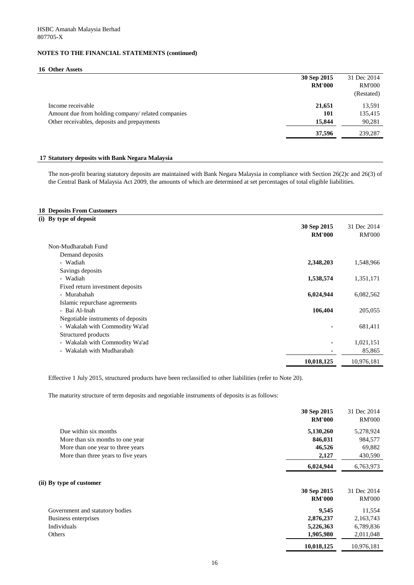#### **16 Other Assets**

|                                                    | 30 Sep 2015   | 31 Dec 2014   |
|----------------------------------------------------|---------------|---------------|
|                                                    | <b>RM'000</b> | <b>RM'000</b> |
|                                                    |               | (Restated)    |
| Income receivable                                  | 21,651        | 13,591        |
| Amount due from holding company/ related companies | <b>101</b>    | 135,415       |
| Other receivables, deposits and prepayments        | 15,844        | 90,281        |
|                                                    | 37,596        | 239,287       |

#### **17 Statutory deposits with Bank Negara Malaysia**

The non-profit bearing statutory deposits are maintained with Bank Negara Malaysia in compliance with Section 26(2)c and 26(3) of the Central Bank of Malaysia Act 2009, the amounts of which are determined at set percentages of total eligible liabilities.

### **18 Deposits From Customers**

**(ii)** 

| (i) By type of deposit             | 30 Sep 2015<br><b>RM'000</b> | 31 Dec 2014<br><b>RM'000</b> |
|------------------------------------|------------------------------|------------------------------|
| Non-Mudharabah Fund                |                              |                              |
| Demand deposits                    |                              |                              |
| - Wadiah                           | 2,348,203                    | 1,548,966                    |
| Savings deposits                   |                              |                              |
| - Wadiah                           | 1,538,574                    | 1,351,171                    |
| Fixed return investment deposits   |                              |                              |
| - Murabahah                        | 6,024,944                    | 6,082,562                    |
| Islamic repurchase agreements      |                              |                              |
| - Bai Al-Inah                      | 106,404                      | 205,055                      |
| Negotiable instruments of deposits |                              |                              |
| - Wakalah with Commodity Wa'ad     |                              | 681,411                      |
| Structured products                |                              |                              |
| - Wakalah with Commodity Wa'ad     |                              | 1,021,151                    |
| - Wakalah with Mudharabah          |                              | 85,865                       |
|                                    | 10,018,125                   | 10,976,181                   |

Effective 1 July 2015, structured products have been reclassified to other liabilities (refer to Note 20).

The maturity structure of term deposits and negotiable instruments of deposits is as follows:

|                                     | 30 Sep 2015   | 31 Dec 2014   |
|-------------------------------------|---------------|---------------|
|                                     | <b>RM'000</b> | <b>RM'000</b> |
| Due within six months               | 5,130,260     | 5,278,924     |
| More than six months to one year    | 846,031       | 984,577       |
| More than one year to three years   | 46,526        | 69,882        |
| More than three years to five years | 2,127         | 430,590       |
|                                     | 6,024,944     | 6,763,973     |
| By type of customer                 |               |               |
|                                     | 30 Sep 2015   | 31 Dec 2014   |
|                                     | <b>RM'000</b> | <b>RM'000</b> |
| Government and statutory bodies     | 9,545         | 11,554        |
| <b>Business enterprises</b>         | 2,876,237     | 2,163,743     |
| Individuals                         | 5,226,363     | 6,789,836     |
| Others                              | 1,905,980     | 2,011,048     |
|                                     | 10,018,125    | 10,976,181    |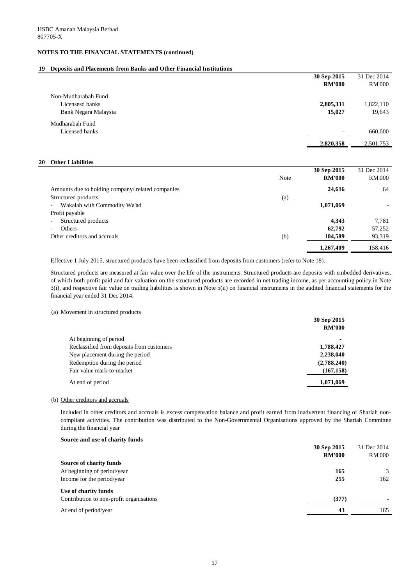### **19 Deposits and Placements from Banks and Other Financial Institutions**

|                      | 30 Sep 2015    | 31 Dec 2014   |
|----------------------|----------------|---------------|
|                      | <b>RM'000</b>  | <b>RM'000</b> |
| Non-Mudharabah Fund  |                |               |
| Licensesd banks      | 2,805,331      | 1,822,110     |
| Bank Negara Malaysia | 15,027         | 19,643        |
| Mudharabah Fund      |                |               |
| Licensed banks       | $\blacksquare$ | 660,000       |
|                      | 2,820,358      | 2,501,753     |
|                      |                |               |

#### **20 Other Liabilities**

|                                                   | <b>Note</b> | 30 Sep 2015<br><b>RM'000</b> | 31 Dec 2014<br><b>RM'000</b> |
|---------------------------------------------------|-------------|------------------------------|------------------------------|
| Amounts due to holding company/ related companies |             | 24,616                       | 64                           |
| Structured products                               | (a)         |                              |                              |
| Wakalah with Commodity Wa'ad<br>$ \,$             |             | 1,071,069                    |                              |
| Profit payable                                    |             |                              |                              |
| Structured products<br>$\overline{\phantom{a}}$   |             | 4,343                        | 7,781                        |
| Others<br>$\overline{\phantom{0}}$                |             | 62,792                       | 57,252                       |
| Other creditors and accruals                      | (b)         | 104,589                      | 93,319                       |
|                                                   |             | 1,267,409                    | 158,416                      |

#### (a) Movement in structured products

|                                           | 30 Sep 2015   |
|-------------------------------------------|---------------|
|                                           | <b>RM'000</b> |
| At beginning of period                    |               |
| Reclassified from deposits from customers | 1,788,427     |
| New placement during the period           | 2,238,040     |
| Redemption during the period              | (2,788,240)   |
| Fair value mark-to-market                 | (167, 158)    |
| At end of period                          | 1,071,069     |
|                                           |               |

#### (b) Other creditors and accruals

#### **Source and use of charity funds**

|                                          | TABLE OVV | TAN OOO                  |
|------------------------------------------|-----------|--------------------------|
| <b>Source of charity funds</b>           |           |                          |
| At beginning of period/year              | 165       |                          |
| Income for the period/year               | 255       | 162                      |
| Use of charity funds                     |           |                          |
| Contribution to non-profit organisations | (377)     | $\overline{\phantom{0}}$ |
| At end of period/year                    |           | 165                      |

Effective 1 July 2015, structured products have been reclassified from deposits from customers (refer to Note 18).

Included in other creditors and accruals is excess compensation balance and profit earned from inadvertent financing of Shariah noncompliant activities. The contribution was distributed to the Non-Governmental Organisations approved by the Shariah Committee during the financial year

Structured products are measured at fair value over the life of the instruments. Structured products are deposits with embedded derivatives, of which both profit paid and fair valuation on the structured products are recorded in net trading income, as per accounting policy in Note 3(i), and respective fair value on trading liabilities is shown in Note 5(ii) on financial instruments in the audited financial statements for the financial year ended 31 Dec 2014.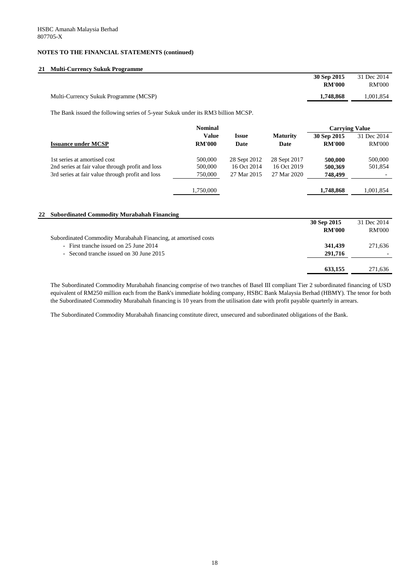### **21 Multi-Currency Sukuk Programme**

|                                       | 30 Sep 2015   | 31 Dec 2014   |
|---------------------------------------|---------------|---------------|
|                                       | <b>RM'000</b> | <b>RM'000</b> |
| Multi-Currency Sukuk Programme (MCSP) | 1,748,868     | 0.001,854     |

|                                                                | <b>Nominal</b> |              |                 | <b>Carrying Value</b> |               |
|----------------------------------------------------------------|----------------|--------------|-----------------|-----------------------|---------------|
|                                                                | <b>Value</b>   | <b>Issue</b> | <b>Maturity</b> | 30 Sep 2015           | 31 Dec 2014   |
| <b>Issuance under MCSP</b>                                     | <b>RM'000</b>  | Date         | <b>Date</b>     | <b>RM'000</b>         | <b>RM'000</b> |
| 1st series at amortised cost                                   | 500,000        | 28 Sept 2012 | 28 Sept 2017    | 500,000               | 500,000       |
| 2nd series at fair value through profit and loss               | 500,000        | 16 Oct 2014  | 16 Oct 2019     | 500,369               | 501,854       |
| 3rd series at fair value through profit and loss               | 750,000        | 27 Mar 2015  | 27 Mar 2020     | 748,499               |               |
|                                                                | 1,750,000      |              |                 | 1,748,868             | 1,001,854     |
|                                                                |                |              |                 |                       |               |
| <b>Subordinated Commodity Murabahah Financing</b><br>22        |                |              |                 |                       |               |
|                                                                |                |              |                 | 30 Sep 2015           | 31 Dec 2014   |
|                                                                |                |              |                 | <b>RM'000</b>         | <b>RM'000</b> |
| Subordinated Commodity Murabahah Financing, at amortised costs |                |              |                 |                       |               |
| - First tranche issued on 25 June 2014                         |                |              |                 | 341,439               | 271,636       |
| - Second tranche issued on 30 June 2015                        |                |              |                 | 291,716               |               |

 **633,155** 271,636

The Subordinated Commodity Murabahah financing comprise of two tranches of Basel III compliant Tier 2 subordinated financing of USD equivalent of RM250 million each from the Bank's immediate holding company, HSBC Bank Malaysia Berhad (HBMY). The tenor for both the Subordinated Commodity Murabahah financing is 10 years from the utilisation date with profit payable quarterly in arrears.

The Subordinated Commodity Murabahah financing constitute direct, unsecured and subordinated obligations of the Bank.

The Bank issued the following series of 5-year Sukuk under its RM3 billion MCSP.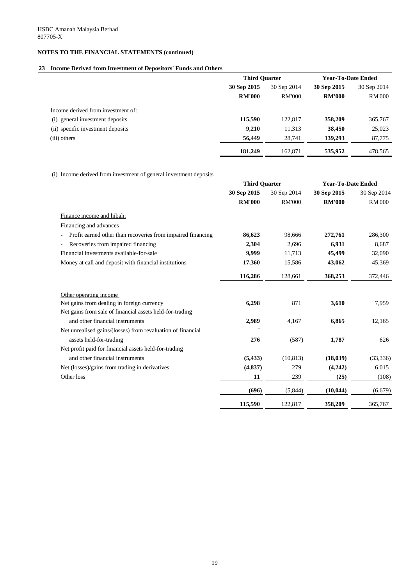### **23 Income Derived from Investment of Depositors' Funds and Others**

(i) Income derived from investment of general investment deposits

|                                    | <b>Third Quarter</b> |               | <b>Year-To-Date Ended</b> |               |             |
|------------------------------------|----------------------|---------------|---------------------------|---------------|-------------|
|                                    | 30 Sep 2015          | 30 Sep 2014   | 30 Sep 2015               |               | 30 Sep 2014 |
|                                    | <b>RM'000</b>        | <b>RM'000</b> | <b>RM'000</b>             | <b>RM'000</b> |             |
| Income derived from investment of: |                      |               |                           |               |             |
| (i) general investment deposits    | 115,590              | 122,817       | 358,209                   | 365,767       |             |
| (ii) specific investment deposits  | 9,210                | 11,313        | 38,450                    | 25,023        |             |
| (iii) others                       | 56,449               | 28,741        | 139,293                   | 87,775        |             |
|                                    | 181,249              | 162,871       | 535,952                   | 478,565       |             |

|                                                             | <b>Third Quarter</b> |                            | <b>Year-To-Date Ended</b> |               |
|-------------------------------------------------------------|----------------------|----------------------------|---------------------------|---------------|
|                                                             | 30 Sep 2015          | 30 Sep 2014<br>30 Sep 2015 |                           | 30 Sep 2014   |
|                                                             | <b>RM'000</b>        | <b>RM'000</b>              | <b>RM'000</b>             | <b>RM'000</b> |
| Finance income and hibah:                                   |                      |                            |                           |               |
| Financing and advances                                      |                      |                            |                           |               |
| Profit earned other than recoveries from impaired financing | 86,623               | 98,666                     | 272,761                   | 286,300       |
| Recoveries from impaired financing                          | 2,304                | 2,696                      | 6,931                     | 8,687         |
| Financial investments available-for-sale                    | 9,999                | 11,713                     | 45,499                    | 32,090        |
| Money at call and deposit with financial institutions       | 17,360               | 15,586                     | 43,062                    | 45,369        |
|                                                             | 116,286              | 128,661                    | 368,253                   | 372,446       |
| Other operating income                                      |                      |                            |                           |               |
| Net gains from dealing in foreign currency                  | 6,298                | 871                        | 3,610                     | 7,959         |
| Net gains from sale of financial assets held-for-trading    |                      |                            |                           |               |
| and other financial instruments                             | 2,989                | 4,167                      | 6,865                     | 12,165        |
| Net unrealised gains/(losses) from revaluation of financial |                      |                            |                           |               |
| assets held-for-trading                                     | 276                  | (587)                      | 1,787                     | 626           |
| Net profit paid for financial assets held-for-trading       |                      |                            |                           |               |
| and other financial instruments                             | (5, 433)             | (10, 813)                  | (18, 039)                 | (33, 336)     |
| Net (losses)/gains from trading in derivatives              | (4, 837)             | 279                        | (4,242)                   | 6,015         |
| Other loss                                                  | 11                   | 239                        | (25)                      | (108)         |
|                                                             | (696)                | (5,844)                    | (10, 044)                 | (6, 679)      |
|                                                             | 115,590              | 122,817                    | 358,209                   | 365,767       |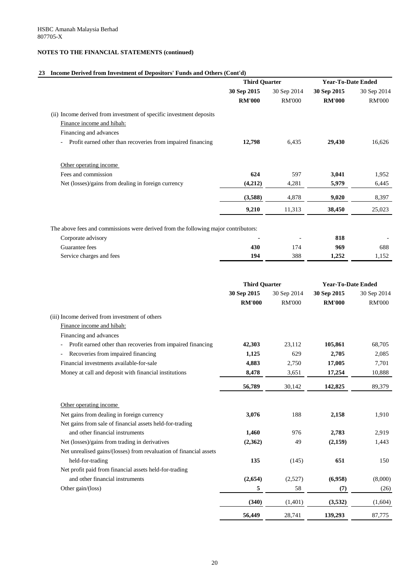#### **23 Income Derived from Investment of Depositors' Funds and Others (Cont'd)**

|                                                                                                                                                        | <b>Third Quarter</b>         |               | <b>Year-To-Date Ended</b>    |                              |
|--------------------------------------------------------------------------------------------------------------------------------------------------------|------------------------------|---------------|------------------------------|------------------------------|
|                                                                                                                                                        | 30 Sep 2015                  | 30 Sep 2014   | 30 Sep 2015                  | 30 Sep 2014                  |
|                                                                                                                                                        | <b>RM'000</b>                | <b>RM'000</b> | <b>RM'000</b>                | <b>RM'000</b>                |
| (ii) Income derived from investment of specific investment deposits                                                                                    |                              |               |                              |                              |
| Finance income and hibah:                                                                                                                              |                              |               |                              |                              |
| Financing and advances                                                                                                                                 |                              |               |                              |                              |
| Profit earned other than recoveries from impaired financing                                                                                            | 12,798                       | 6,435         | 29,430                       | 16,626                       |
| Other operating income                                                                                                                                 |                              |               |                              |                              |
| Fees and commission                                                                                                                                    | 624                          | 597           | 3,041                        | 1,952                        |
| Net (losses)/gains from dealing in foreign currency                                                                                                    | (4,212)                      | 4,281         | 5,979                        | 6,445                        |
|                                                                                                                                                        | (3,588)                      | 4,878         | 9,020                        | 8,397                        |
|                                                                                                                                                        | 9,210                        | 11,313        | 38,450                       | 25,023                       |
| The above fees and commissions were derived from the following major contributors:<br>Corporate advisory<br>Guarantee fees<br>Service charges and fees | 430<br>194                   | 174<br>388    | 818<br>969<br>1,252          | 688<br>1,152                 |
|                                                                                                                                                        | <b>Third Quarter</b>         |               | <b>Year-To-Date Ended</b>    |                              |
|                                                                                                                                                        | 30 Sep 2015<br><b>RM'000</b> | 30 Sep 2014   | 30 Sep 2015<br><b>RM'000</b> | 30 Sep 2014<br><b>RM'000</b> |
|                                                                                                                                                        |                              | <b>RM'000</b> |                              |                              |
| (iii) Income derived from investment of others<br>Finance income and hibah:                                                                            |                              |               |                              |                              |
| Financing and advances                                                                                                                                 |                              |               |                              |                              |
| Profit earned other than recoveries from impaired financing<br>$\blacksquare$                                                                          | 42,303                       | 23,112        | 105,861                      | 68,705                       |
| Recoveries from impaired financing                                                                                                                     | 1,125                        | 629           | 2,705                        | 2,085                        |
| Financial investments available-for-sale                                                                                                               | 4,883                        | 2,750         | 17,005                       | 7,701                        |
| Money at call and deposit with financial institutions                                                                                                  | 8,478                        | 3,651         | 17,254                       | 10,888                       |
|                                                                                                                                                        | 56,789                       | 30,142        | 142,825                      | 89,379                       |
| Other operating income                                                                                                                                 |                              |               |                              |                              |
| Net gains from dealing in foreign currency                                                                                                             | 3,076                        | 188           | 2,158                        | 1,910                        |

Net gains from sale of financial assets held-for-trading and other financial instruments **1,460** 976 2,783 2,919 Net (losses)/gains from trading in derivatives **(2,362)** 49 **(2,159)** 1,443

Net unrealised gains/(losses) from revaluation of financial assets

| held-for-trading                                       |
|--------------------------------------------------------|
| Net profit paid from financial assets held-for-trading |
| and other financial instruments                        |
| Other gain/(loss)                                      |

| held-for-trading                                       | 135     | (145)   | 651     | 150     |
|--------------------------------------------------------|---------|---------|---------|---------|
| Net profit paid from financial assets held-for-trading |         |         |         |         |
| and other financial instruments                        | (2,654) | (2,527) | (6,958) | (8,000) |
| Other gain/(loss)                                      | 5       | 58      | (7)     | (26)    |
|                                                        | (340)   | (1,401) | (3,532) | (1,604) |
|                                                        | 56,449  | 28,741  | 139,293 | 87,775  |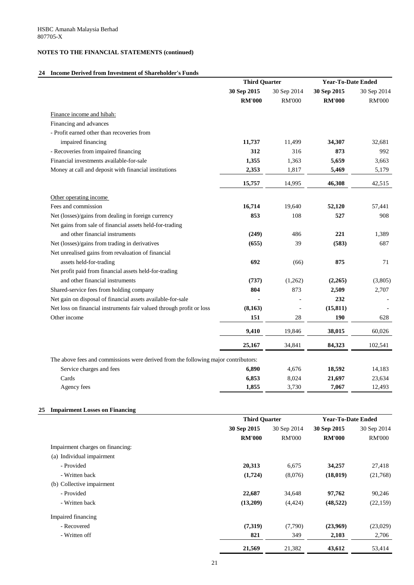#### **24 Income Derived from Investment of Shareholder's Funds**

|                                                                                    | <b>Third Quarter</b> |               | <b>Year-To-Date Ended</b> |               |
|------------------------------------------------------------------------------------|----------------------|---------------|---------------------------|---------------|
|                                                                                    | 30 Sep 2015          | 30 Sep 2014   | 30 Sep 2015               | 30 Sep 2014   |
|                                                                                    | <b>RM'000</b>        | <b>RM'000</b> | <b>RM'000</b>             | <b>RM'000</b> |
| Finance income and hibah:                                                          |                      |               |                           |               |
| Financing and advances                                                             |                      |               |                           |               |
| - Profit earned other than recoveries from                                         |                      |               |                           |               |
| impaired financing                                                                 | 11,737               | 11,499        | 34,307                    | 32,681        |
| - Recoveries from impaired financing                                               | 312                  | 316           | 873                       | 992           |
| Financial investments available-for-sale                                           | 1,355                | 1,363         | 5,659                     | 3,663         |
| Money at call and deposit with financial institutions                              | 2,353                | 1,817         | 5,469                     | 5,179         |
|                                                                                    | 15,757               | 14,995        | 46,308                    | 42,515        |
| Other operating income                                                             |                      |               |                           |               |
| Fees and commission                                                                | 16,714               | 19,640        | 52,120                    | 57,441        |
| Net (losses)/gains from dealing in foreign currency                                | 853                  | 108           | 527                       | 908           |
| Net gains from sale of financial assets held-for-trading                           |                      |               |                           |               |
| and other financial instruments                                                    | (249)                | 486           | 221                       | 1,389         |
| Net (losses)/gains from trading in derivatives                                     | (655)                | 39            | (583)                     | 687           |
| Net unrealised gains from revaluation of financial                                 |                      |               |                           |               |
| assets held-for-trading                                                            | 692                  | (66)          | 875                       | 71            |
| Net profit paid from financial assets held-for-trading                             |                      |               |                           |               |
| and other financial instruments                                                    | (737)                | (1,262)       | (2,265)                   | (3,805)       |
| Shared-service fees from holding company                                           | 804                  | 873           | 2,509                     | 2,707         |
| Net gain on disposal of financial assets available-for-sale                        |                      |               | 232                       |               |
| Net loss on financial instruments fair valued through profit or loss               | (8,163)              |               | (15, 811)                 |               |
| Other income                                                                       | 151                  | 28            | 190                       | 628           |
|                                                                                    | 9,410                | 19,846        | 38,015                    | 60,026        |
|                                                                                    | 25,167               | 34,841        | 84,323                    | 102,541       |
| The above fees and commissions were derived from the following major contributors: |                      |               |                           |               |
| Service charges and fees                                                           | 6,890                | 4,676         | 18,592                    | 14,183        |
| Cards                                                                              | 6,853                | 8,024         | 21,697                    | 23,634        |
| Agency fees                                                                        | 1,855                | 3,730         | 7,067                     | 12,493        |

(a) Individual impairment

|                                  |               | <b>Third Quarter</b> |               | <b>Year-To-Date Ended</b> |
|----------------------------------|---------------|----------------------|---------------|---------------------------|
|                                  | 30 Sep 2015   | 30 Sep 2014          | 30 Sep 2015   | 30 Sep 2014               |
|                                  | <b>RM'000</b> | <b>RM'000</b>        | <b>RM'000</b> | <b>RM'000</b>             |
| Impairment charges on financing: |               |                      |               |                           |

| - Provided                | 20,313   | 6,675    | 34,257    | 27,418    |
|---------------------------|----------|----------|-----------|-----------|
| - Written back            | (1,724)  | (8,076)  | (18,019)  | (21,768)  |
| (b) Collective impairment |          |          |           |           |
| - Provided                | 22,687   | 34,648   | 97,762    | 90,246    |
| - Written back            | (13,209) | (4, 424) | (48, 522) | (22, 159) |
| Impaired financing        |          |          |           |           |
| - Recovered               | (7,319)  | (7,790)  | (23,969)  | (23,029)  |
| - Written off             | 821      | 349      | 2,103     | 2,706     |
|                           | 21,569   | 21,382   | 43,612    | 53,414    |
|                           |          |          |           |           |

| 20,313   | 6,675    | 34,257    | 27,418    |
|----------|----------|-----------|-----------|
| (1,724)  | (8,076)  | (18, 019) | (21,768)  |
| 22,687   | 34,648   | 97,762    | 90,246    |
| (13,209) | (4, 424) | (48, 522) | (22, 159) |
| (7,319)  | (7,790)  | (23,969)  | (23,029)  |
| 821      | 349      | 2,103     | 2,706     |
| 21,569   | 21,382   | 43,612    | 53,414    |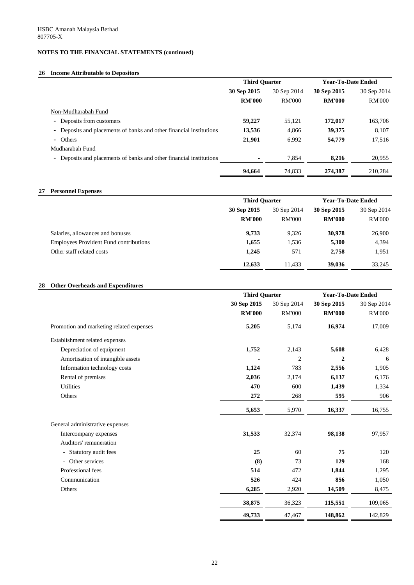## **26 Income Attributable to Depositors**

### **27 Personnel Expenses**

#### **28 Other Overheads and Expenditures**

|                                                                     | <b>Third Quarter</b> |               | <b>Year-To-Date Ended</b> |               |
|---------------------------------------------------------------------|----------------------|---------------|---------------------------|---------------|
|                                                                     | 30 Sep 2015          | 30 Sep 2014   | 30 Sep 2015               | 30 Sep 2014   |
|                                                                     | <b>RM'000</b>        | <b>RM'000</b> | <b>RM'000</b>             | <b>RM'000</b> |
| Non-Mudharabah Fund                                                 |                      |               |                           |               |
| - Deposits from customers                                           | 59,227               | 55,121        | 172,017                   | 163,706       |
| - Deposits and placements of banks and other financial institutions | 13,536               | 4,866         | 39,375                    | 8,107         |
| - Others                                                            | 21,901               | 6,992         | 54,779                    | 17,516        |
| Mudharabah Fund                                                     |                      |               |                           |               |
| - Deposits and placements of banks and other financial institutions |                      | 7,854         | 8,216                     | 20,955        |
|                                                                     | 94,664               | 74,833        | 274,387                   | 210,284       |

|                                               | <b>Third Quarter</b> |               | <b>Year-To-Date Ended</b> |               |
|-----------------------------------------------|----------------------|---------------|---------------------------|---------------|
|                                               | 30 Sep 2015          | 30 Sep 2014   | 30 Sep 2015               | 30 Sep 2014   |
|                                               | <b>RM'000</b>        | <b>RM'000</b> | <b>RM'000</b>             | <b>RM'000</b> |
| Salaries, allowances and bonuses              | 9,733                | 9,326         | 30,978                    | 26,900        |
| <b>Employees Provident Fund contributions</b> | 1,655                | 1,536         | 5,300                     | 4,394         |
| Other staff related costs                     | 1,245                | 571           | 2,758                     | 1,951         |
|                                               | 12,633               | 11,433        | 39,036                    | 33,245        |

|                                          | <b>Third Quarter</b> |                | <b>Year-To-Date Ended</b> |               |
|------------------------------------------|----------------------|----------------|---------------------------|---------------|
|                                          | 30 Sep 2015          | 30 Sep 2014    | 30 Sep 2015               | 30 Sep 2014   |
|                                          | <b>RM'000</b>        | <b>RM'000</b>  | <b>RM'000</b>             | <b>RM'000</b> |
| Promotion and marketing related expenses | 5,205                | 5,174          | 16,974                    | 17,009        |
| Establishment related expenses           |                      |                |                           |               |
| Depreciation of equipment                | 1,752                | 2,143          | 5,608                     | 6,428         |
| Amortisation of intangible assets        |                      | $\overline{2}$ | $\boldsymbol{2}$          | 6             |
| Information technology costs             | 1,124                | 783            | 2,556                     | 1,905         |
| Rental of premises                       | 2,036                | 2,174          | 6,137                     | 6,176         |
| Utilities                                | 470                  | 600            | 1,439                     | 1,334         |
| Others                                   | 272                  | 268            | 595                       | 906           |
|                                          | 5,653                | 5,970          | 16,337                    | 16,755        |
| General administrative expenses          |                      |                |                           |               |
| Intercompany expenses                    | 31,533               | 32,374         | 98,138                    | 97,957        |
| Auditors' remuneration                   |                      |                |                           |               |
| - Statutory audit fees                   | 25                   | 60             | 75                        | 120           |

|                   | 38,875 | 36,323 | 115,551 | 109,065 |
|-------------------|--------|--------|---------|---------|
| Others            | 6,285  | 2,920  | 14,509  | 8,475   |
| Communication     | 526    | 424    | 856     | 1,050   |
| Professional fees | 514    | 472    | 1,844   | ,295    |
| - Other services  | (8)    | 73     | 129     | 168     |

 **49,733** 47,467 **148,862** 142,829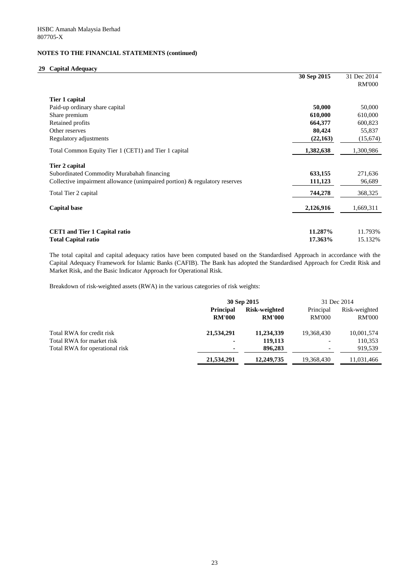#### **29 Capital Adequacy**

|                                                                            | 30 Sep 2015 | 31 Dec 2014   |
|----------------------------------------------------------------------------|-------------|---------------|
|                                                                            |             | <b>RM'000</b> |
| Tier 1 capital                                                             |             |               |
| Paid-up ordinary share capital                                             | 50,000      | 50,000        |
| Share premium                                                              | 610,000     | 610,000       |
| Retained profits                                                           | 664,377     | 600,823       |
| Other reserves                                                             | 80,424      | 55,837        |
| Regulatory adjustments                                                     | (22, 163)   | (15,674)      |
| Total Common Equity Tier 1 (CET1) and Tier 1 capital                       | 1,382,638   | 1,300,986     |
| <b>Tier 2 capital</b>                                                      |             |               |
| Subordinated Commodity Murabahah financing                                 | 633,155     | 271,636       |
| Collective impairment allowance (unimpaired portion) & regulatory reserves | 111,123     | 96,689        |
| Total Tier 2 capital                                                       | 744,278     | 368,325       |
| <b>Capital base</b>                                                        | 2,126,916   | 1,669,311     |
|                                                                            |             |               |
| <b>CET1</b> and Tier 1 Capital ratio                                       | 11.287%     | 11.793%       |
| <b>Total Capital ratio</b>                                                 | 17.363%     | 15.132%       |

The total capital and capital adequacy ratios have been computed based on the Standardised Approach in accordance with the Capital Adequacy Framework for Islamic Banks (CAFIB). The Bank has adopted the Standardised Approach for Credit Risk and Market Risk, and the Basic Indicator Approach for Operational Risk.

Breakdown of risk-weighted assets (RWA) in the various categories of risk weights:

|                                |                  | 30 Sep 2015          |               | 31 Dec 2014   |
|--------------------------------|------------------|----------------------|---------------|---------------|
|                                | <b>Principal</b> | <b>Risk-weighted</b> | Principal     | Risk-weighted |
|                                | <b>RM'000</b>    | <b>RM'000</b>        | <b>RM'000</b> | <b>RM'000</b> |
| Total RWA for credit risk      | 21,534,291       | 11,234,339           | 19,368,430    | 10,001,574    |
| Total RWA for market risk      | $\blacksquare$   | 119,113              |               | 110,353       |
| Total RWA for operational risk | $\blacksquare$   | 896,283              |               | 919,539       |
|                                | 21,534,291       | 12,249,735           | 19,368,430    | 11,031,466    |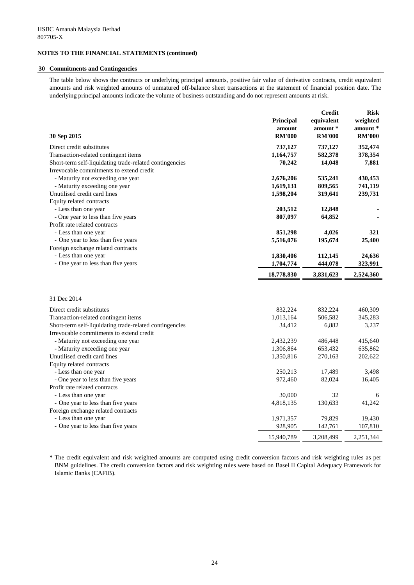#### **30 Commitments and Contingencies**

The table below shows the contracts or underlying principal amounts, positive fair value of derivative contracts, credit equivalent amounts and risk weighted amounts of unmatured off-balance sheet transactions at the statement of financial position date. The underlying principal amounts indicate the volume of business outstanding and do not represent amounts at risk.

|                                                         |                  | <b>Credit</b> | <b>Risk</b>   |
|---------------------------------------------------------|------------------|---------------|---------------|
|                                                         | <b>Principal</b> | equivalent    | weighted      |
|                                                         | amount           | amount *      | amount *      |
| 30 Sep 2015                                             | <b>RM'000</b>    | <b>RM'000</b> | <b>RM'000</b> |
| Direct credit substitutes                               | 737,127          | 737,127       | 352,474       |
| Transaction-related contingent items                    | 1,164,757        | 582,378       | 378,354       |
| Short-term self-liquidating trade-related contingencies | 70,242           | 14,048        | 7,881         |
| Irrevocable commitments to extend credit                |                  |               |               |
| - Maturity not exceeding one year                       | 2,676,206        | 535,241       | 430,453       |
| - Maturity exceeding one year                           | 1,619,131        | 809,565       | 741,119       |
| Unutilised credit card lines                            | 1,598,204        | 319,641       | 239,731       |
| Equity related contracts                                |                  |               |               |
| - Less than one year                                    | 203,512          | 12,848        |               |
| - One year to less than five years                      | 807,097          | 64,852        |               |
| Profit rate related contracts                           |                  |               |               |
| - Less than one year                                    | 851,298          | 4,026         | 321           |
| - One year to less than five years                      | 5,516,076        | 195,674       | 25,400        |
| Foreign exchange related contracts                      |                  |               |               |
| - Less than one year                                    | 1,830,406        | 112,145       | 24,636        |
| - One year to less than five years                      | 1,704,774        | 444,078       | 323,991       |
|                                                         | 18,778,830       | 3,831,623     | 2,524,360     |
|                                                         |                  |               |               |
| 31 Dec 2014                                             |                  |               |               |
| Direct credit substitutes                               | 832,224          | 832,224       | 460,309       |
| Transaction-related contingent items                    | 1,013,164        | 506,582       | 345,283       |
| Short-term self-liquidating trade-related contingencies | 34,412           | 6,882         | 3,237         |
| Irrevocable commitments to extend credit                |                  |               |               |
| - Maturity not exceeding one year                       | 2,432,239        | 486,448       | 415,640       |
| - Maturity exceeding one year                           | 1,306,864        | 653,432       | 635,862       |
| Unutilised credit card lines                            | 1,350,816        | 270,163       | 202,622       |
| Equity related contracts                                |                  |               |               |
| - Less than one year                                    | 250,213          | 17,489        | 3,498         |
| - One year to less than five years                      | 972,460          | 82,024        | 16,405        |
| Profit rate related contracts                           |                  |               |               |
| - Less than one year                                    | 30,000           | 32            | 6             |
| - One year to less than five years                      | 4,818,135        | 130,633       | 41,242        |
| Foreign exchange related contracts                      |                  |               |               |
| - Less than one year                                    | 1,971,357        | 79,829        | 19,430        |
| - One year to less than five years                      | 928,905          | 142,761       | 107,810       |
|                                                         | 15,940,789       | 3,208,499     | 2,251,344     |

**\*** The credit equivalent and risk weighted amounts are computed using credit conversion factors and risk weighting rules as per BNM guidelines. The credit conversion factors and risk weighting rules were based on Basel II Capital Adequacy Framework for Islamic Banks (CAFIB).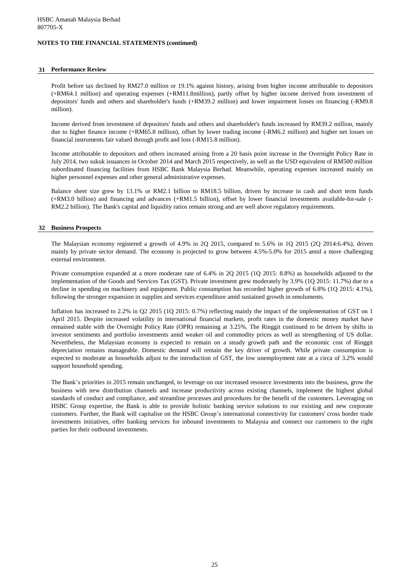#### **31 Performance Review**

Profit before tax declined by RM27.0 million or 19.1% against history, arising from higher income attributable to depositors (+RM64.1 million) and operating expenses (+RM11.8million), partly offset by higher income derived from investment of depositors' funds and others and shareholder's funds (+RM39.2 million) and lower impairment losses on financing (-RM9.8 million).

Income derived from investment of depositors' funds and others and shareholder's funds increased by RM39.2 million, mainly due to higher finance income (+RM65.8 million), offset by lower trading income (-RM6.2 million) and higher net losses on financial instruments fair valued through profit and loss (-RM15.8 million).

Income attributable to depositors and others increased arising from a 20 basis point increase in the Overnight Policy Rate in July 2014, two sukuk issuances in October 2014 and March 2015 respectively, as well as the USD equivalent of RM500 million subordinated financing facilities from HSBC Bank Malaysia Berhad. Meanwhile, operating expenses increased mainly on higher personnel expenses and other general administrative expenses.

Balance sheet size grew by 13.1% or RM2.1 billion to RM18.5 billion, driven by increase in cash and short term funds (+RM3.0 billion) and financing and advances (+RM1.5 billion), offset by lower financial investments available-for-sale (- RM2.2 billion). The Bank's capital and liquidity ratios remain strong and are well above regulatory requirements.

#### **32 Business Prospects**

The Malaysian economy registered a growth of 4.9% in 2Q 2015, compared to 5.6% in 1Q 2015 (2Q 2014:6.4%), driven mainly by private sector demand. The economy is projected to grow between 4.5%-5.0% for 2015 amid a more challenging external environment.

Private consumption expanded at a more moderate rate of 6.4% in 2Q 2015 (1Q 2015: 8.8%) as households adjusted to the implementation of the Goods and Services Tax (GST). Private investment grew moderately by 3.9% (1Q 2015: 11.7%) due to a decline in spending on machinery and equipment. Public consumption has recorded higher growth of 6.8% (1Q 2015: 4.1%), following the stronger expansion in supplies and services expenditure amid sustained growth in emoluments.

Inflation has increased to 2.2% in Q2 2015 (1Q 2015: 0.7%) reflecting mainly the impact of the implementation of GST on 1 April 2015. Despite increased volatility in international financial markets, profit rates in the domestic money market have remained stable with the Overnight Policy Rate (OPR) remaining at 3.25%. The Ringgit continued to be driven by shifts in investor sentiments and portfolio investments amid weaker oil and commodity prices as well as strengthening of US dollar. Nevertheless, the Malaysian economy is expected to remain on a steady growth path and the economic cost of Ringgit depreciation remains manageable. Domestic demand will remain the key driver of growth. While private consumption is expected to moderate as households adjust to the introduction of GST, the low unemployment rate at a circa of 3.2% would support household spending.

The Bank's priorities in 2015 remain unchanged, to leverage on our increased resource investments into the business, grow the business with new distribution channels and increase productivity across existing channels, implement the highest global standards of conduct and compliance, and streamline processes and procedures for the benefit of the customers. Leveraging on HSBC Group expertise, the Bank is able to provide holistic banking service solutions to our existing and new corporate customers. Further, the Bank will capitalise on the HSBC Group's international connectivity for customers' cross border trade investments initiatives, offer banking services for inbound investments to Malaysia and connect our customers to the right parties for their outbound investments.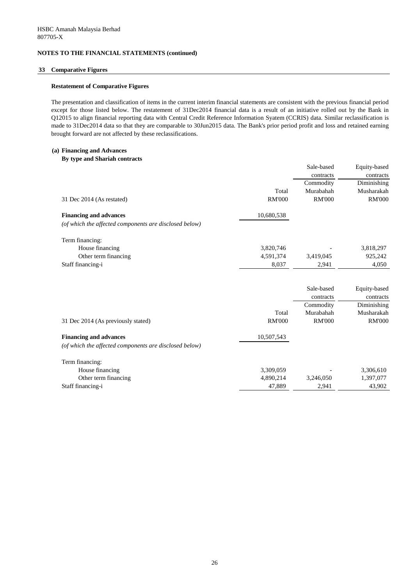#### **33 Comparative Figures**

#### **Restatement of Comparative Figures**

The presentation and classification of items in the current interim financial statements are consistent with the previous financial period except for those listed below. The restatement of 31Dec2014 financial data is a result of an initiative rolled out by the Bank in Q12015 to align financial reporting data with Central Credit Reference Information Syatem (CCRIS) data. Similar reclassification is made to 31Dec2014 data so that they are comparable to 30Jun2015 data. The Bank's prior period profit and loss and retained earning brought forward are not affected by these reclassifications.

#### **(a) Financing and Advances**

#### **By type and Shariah contracts**

|                                                        |               | Sale-based    | Equity-based  |
|--------------------------------------------------------|---------------|---------------|---------------|
|                                                        |               | contracts     | contracts     |
|                                                        |               | Commodity     | Diminishing   |
|                                                        | Total         | Murabahah     | Musharakah    |
| 31 Dec 2014 (As restated)                              | <b>RM'000</b> | <b>RM'000</b> | <b>RM'000</b> |
| <b>Financing and advances</b>                          | 10,680,538    |               |               |
| (of which the affected components are disclosed below) |               |               |               |
| Term financing:                                        |               |               |               |
| House financing                                        | 3,820,746     |               | 3,818,297     |
| Other term financing                                   | 4,591,374     | 3,419,045     | 925,242       |
| Staff financing-i                                      | 8,037         | 2,941         | 4,050         |
|                                                        |               | Sale-based    | Equity-based  |
|                                                        |               | contracts     | contracts     |
|                                                        |               | Commodity     | Diminishing   |
|                                                        | Total         | Murabahah     | Musharakah    |
| 31 Dec 2014 (As previously stated)                     | <b>RM'000</b> | <b>RM'000</b> | <b>RM'000</b> |
| <b>Financing and advances</b>                          | 10,507,543    |               |               |
| (of which the affected components are disclosed below) |               |               |               |
| Term financing:                                        |               |               |               |
| House financing                                        | 3,309,059     |               | 3,306,610     |
| Other term financing                                   | 4,890,214     | 3,246,050     | 1,397,077     |

Staff financing-i 43,902

26